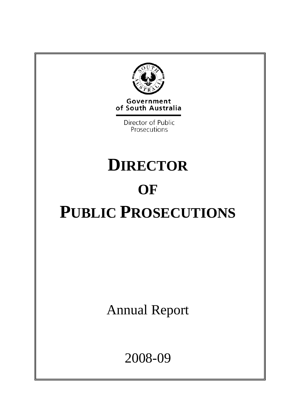

Government of South Australia

> Director of Public Prosecutions

# **DIRECTOR OF PUBLIC PROSECUTIONS**

Annual Report

2008-09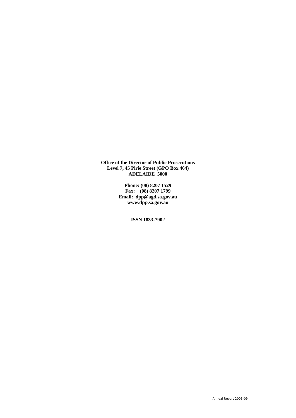**Office of the Director of Public Prosecutions Level 7, 45 Pirie Street (GPO Box 464) ADELAIDE 5000** 

> **Phone: (08) 8207 1529 Fax: (08) 8207 1799 Email: dpp@agd.sa.gov.au www.dpp.sa.gov.au**

> > **ISSN 1833-7902**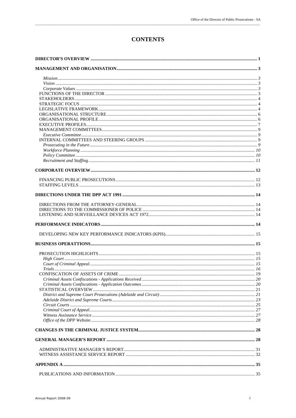# **CONTENTS**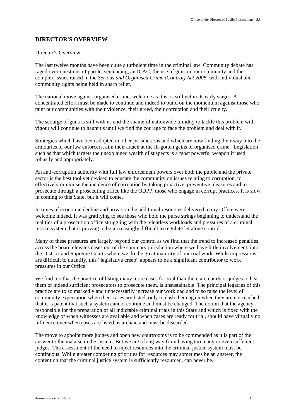#### **DIRECTOR'S OVERVIEW**

#### Director's Overview

The last twelve months have been quite a turbulent time in the criminal law. Community debate has raged over questions of parole, sentencing, an ICAC, the use of guns in our community and the complex issues raised in the *Serious and Organised Crime (Control) Act 2008*, with individual and community rights being held in sharp relief.

\_\_\_\_\_\_\_\_\_\_\_\_\_\_\_\_\_\_\_\_\_\_\_\_\_\_\_\_\_\_\_\_\_\_\_\_\_\_\_\_\_\_\_\_\_\_\_\_\_\_\_\_\_\_\_\_\_\_\_\_\_\_\_\_\_\_\_\_\_\_\_\_\_\_\_\_\_\_\_\_\_\_\_\_\_\_\_\_\_\_\_\_\_\_\_\_\_\_\_\_\_\_\_\_\_\_\_\_\_\_\_\_\_\_\_\_\_\_\_\_\_\_\_\_\_\_\_\_\_

The national move against organised crime, welcome as it is, is still yet in its early stages. A concentrated effort must be made to continue and indeed to build on the momentum against those who taint our communities with their violence, their greed, their corruption and their cruelty.

The scourge of guns is still with us and the shameful nationwide timidity to tackle this problem with vigour will continue to haunt us until we find the courage to face the problem and deal with it.

Strategies which have been adopted in other jurisdictions and which are now finding their way into the armouries of our law enforcers, aim their attack at the ill-gotten gains of organised crime. Legislation such as that which targets the unexplained wealth of suspects is a most powerful weapon if used robustly and appropriately.

An anti-corruption authority with full law enforcement powers over both the public and the private sector is the best tool yet devised to educate the community on issues relating to corruption, to effectively minimise the incidence of corruption by taking proactive, preventive measures and to prosecute through a prosecuting office like the ODPP, those who engage in corrupt practices. It is slow in coming to this State, but it will come.

In times of economic decline and privation the additional resources delivered to my Office were welcome indeed. It was gratifying to see those who hold the purse strings beginning to understand the realities of a prosecution office struggling with the relentless workloads and pressures of a criminal justice system that is proving to be increasingly difficult to regulate let alone control.

Many of these pressures are largely beyond our control as we find that the trend to increased penalties across the board elevates cases out of the summary jurisdiction where we have little involvement, into the District and Supreme Courts where we do the great majority of our trial work. While impressions are difficult to quantify, this "legislative creep" appears to be a significant contributor to work pressures in our Office.

We find too that the practice of listing many more cases for trial than there are courts or judges to hear them or indeed sufficient prosecutors to prosecute them, is unsustainable. The principal legacies of this practice are to so markedly and unnecessarily increase our workload and to so raise the level of community expectation when their cases are listed, only to dash them again when they are not reached, that it is patent that such a system cannot continue and must be changed. The notion that the agency responsible for the preparation of all indictable criminal trials in this State and which is fixed with the knowledge of when witnesses are available and when cases are ready for trial, should have virtually no influence over when cases are listed, is archaic and must be discarded.

The move to appoint more judges and open new courtrooms is to be commended as it is part of the answer to the malaise in the system. But we are a long way from having too many or even sufficient judges. The assessment of the need to inject resources into the criminal justice system must be continuous. While greater competing priorities for resources may sometimes be an answer, the contention that the criminal justice system is sufficiently resourced, can never be.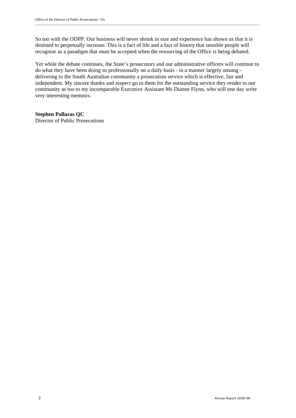So too with the ODPP. Our business will never shrink in size and experience has shown us that it is destined to perpetually increase. This is a fact of life and a fact of history that sensible people will recognise as a paradigm that must be accepted when the resourcing of the Office is being debated.

\_\_\_\_\_\_\_\_\_\_\_\_\_\_\_\_\_\_\_\_\_\_\_\_\_\_\_\_\_\_\_\_\_\_\_\_\_\_\_\_\_\_\_\_\_\_\_\_\_\_\_\_\_\_\_\_\_\_\_\_\_\_\_\_\_\_\_\_\_\_\_\_\_\_\_\_\_\_\_\_\_\_\_\_\_\_\_\_\_\_\_\_\_\_\_\_\_\_\_\_\_\_\_\_\_\_\_\_\_\_\_\_\_\_\_\_\_\_\_\_\_\_\_\_\_\_\_\_\_

Yet while the debate continues, the State's prosecutors and our administrative officers will continue to do what they have been doing so professionally on a daily basis - in a manner largely unsung delivering to the South Australian community a prosecution service which is effective, fair and independent. My sincere thanks and respect go to them for the outstanding service they render to our community as too to my incomparable Executive Assistant Ms Dianne Flynn, who will one day write very interesting memoirs.

**Stephen Pallaras QC**  Director of Public Prosecutions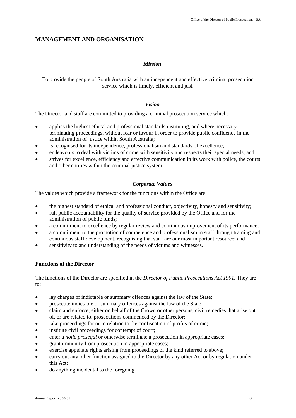## **MANAGEMENT AND ORGANISATION**

#### *Mission*

To provide the people of South Australia with an independent and effective criminal prosecution service which is timely, efficient and just.

#### *Vision*

The Director and staff are committed to providing a criminal prosecution service which:

- applies the highest ethical and professional standards instituting, and where necessary terminating proceedings, without fear or favour in order to provide public confidence in the administration of justice within South Australia;
- is recognised for its independence, professionalism and standards of excellence;
- endeavours to deal with victims of crime with sensitivity and respects their special needs; and
- strives for excellence, efficiency and effective communication in its work with police, the courts and other entities within the criminal justice system.

#### *Corporate Values*

The values which provide a framework for the functions within the Office are:

- the highest standard of ethical and professional conduct, objectivity, honesty and sensitivity;
- full public accountability for the quality of service provided by the Office and for the administration of public funds;
- a commitment to excellence by regular review and continuous improvement of its performance;
- a commitment to the promotion of competence and professionalism in staff through training and continuous staff development, recognising that staff are our most important resource; and
- sensitivity to and understanding of the needs of victims and witnesses.

#### **Functions of the Director**

The functions of the Director are specified in the *Director of Public Prosecutions Act 1991.* They are to:

- lay charges of indictable or summary offences against the law of the State;
- prosecute indictable or summary offences against the law of the State;
- claim and enforce, either on behalf of the Crown or other persons, civil remedies that arise out of, or are related to, prosecutions commenced by the Director;
- take proceedings for or in relation to the confiscation of profits of crime;
- institute civil proceedings for contempt of court;
- enter a *nolle prosequi* or otherwise terminate a prosecution in appropriate cases;
- grant immunity from prosecution in appropriate cases;
- exercise appellate rights arising from proceedings of the kind referred to above;
- carry out any other function assigned to the Director by any other Act or by regulation under this Act;
- do anything incidental to the foregoing.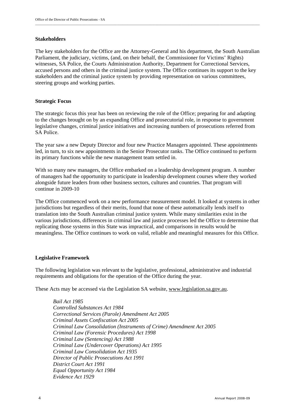#### **Stakeholders**

The key stakeholders for the Office are the Attorney-General and his department, the South Australian Parliament, the judiciary, victims, (and, on their behalf, the Commissioner for Victims' Rights) witnesses, SA Police, the Courts Administration Authority, Department for Correctional Services, accused persons and others in the criminal justice system. The Office continues its support to the key stakeholders and the criminal justice system by providing representation on various committees, steering groups and working parties.

#### **Strategic Focus**

The strategic focus this year has been on reviewing the role of the Office; preparing for and adapting to the changes brought on by an expanding Office and prosecutorial role, in response to government legislative changes, criminal justice initiatives and increasing numbers of prosecutions referred from SA Police.

The year saw a new Deputy Director and four new Practice Managers appointed. These appointments led, in turn, to six new appointments in the Senior Prosecutor ranks. The Office continued to perform its primary functions while the new management team settled in.

With so many new managers, the Office embarked on a leadership development program. A number of managers had the opportunity to participate in leadership development courses where they worked alongside future leaders from other business sectors, cultures and countries. That program will continue in 2009-10

The Office commenced work on a new performance measurement model. It looked at systems in other jurisdictions but regardless of their merits, found that none of these automatically lends itself to translation into the South Australian criminal justice system. While many similarities exist in the various jurisdictions, differences in criminal law and justice processes led the Office to determine that replicating those systems in this State was impractical, and comparisons in results would be meaningless. The Office continues to work on valid, reliable and meaningful measures for this Office.

#### **Legislative Framework**

The following legislation was relevant to the legislative, professional, administrative and industrial requirements and obligations for the operation of the Office during the year.

These Acts may be accessed via the Legislation SA website, www.legislation.sa.gov.au.

*Bail Act 1985 Controlled Substances Act 1984 Correctional Services (Parole) Amendment Act 2005 Criminal Assets Confiscation Act 2005 Criminal Law Consolidation (Instruments of Crime) Amendment Act 2005 Criminal Law (Forensic Procedures) Act 1998 Criminal Law (Sentencing) Act 1988 Criminal Law (Undercover Operations) Act 1995 Criminal Law Consolidation Act 1935 Director of Public Prosecutions Act 1991 District Court Act 1991 Equal Opportunity Act 1984 Evidence Act 1929*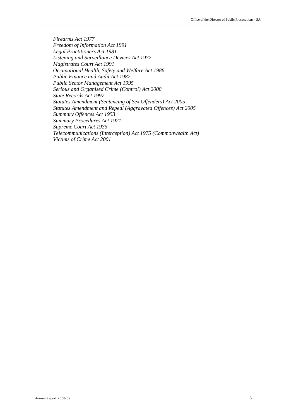*Firearms Act 1977 Freedom of Information Act 1991 Legal Practitioners Act 1981 Listening and Surveillance Devices Act 1972 Magistrates Court Act 1991 Occupational Health, Safety and Welfare Act 1986 Public Finance and Audit Act 1987 Public Sector Management Act 1995 Serious and Organised Crime (Control) Act 2008 State Records Act 1997 Statutes Amendment (Sentencing of Sex Offenders) Act 2005 Statutes Amendment and Repeal (Aggravated Offences) Act 2005 Summary Offences Act 1953 Summary Procedures Act 1921 Supreme Court Act 1935 Telecommunications (Interception) Act 1975 (Commonwealth Act) Victims of Crime Act 2001*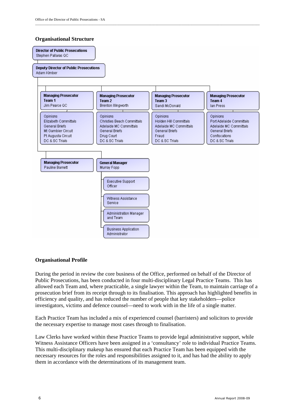#### **Organisational Structure**



\_\_\_\_\_\_\_\_\_\_\_\_\_\_\_\_\_\_\_\_\_\_\_\_\_\_\_\_\_\_\_\_\_\_\_\_\_\_\_\_\_\_\_\_\_\_\_\_\_\_\_\_\_\_\_\_\_\_\_\_\_\_\_\_\_\_\_\_\_\_\_\_\_\_\_\_\_\_\_\_\_\_\_\_\_\_\_\_\_\_\_\_\_\_\_\_\_\_\_\_\_\_\_\_\_\_\_\_\_\_\_\_\_\_\_\_\_\_\_\_\_\_\_\_\_\_\_\_\_

#### **Organisational Profile**

During the period in review the core business of the Office, performed on behalf of the Director of Public Prosecutions, has been conducted in four multi-disciplinary Legal Practice Teams. This has allowed each Team and, where practicable, a single lawyer within the Team, to maintain carriage of a prosecution brief from its receipt through to its finalisation. This approach has highlighted benefits in efficiency and quality, and has reduced the number of people that key stakeholders—police investigators, victims and defence counsel—need to work with in the life of a single matter.

Each Practice Team has included a mix of experienced counsel (barristers) and solicitors to provide the necessary expertise to manage most cases through to finalisation.

Law Clerks have worked within these Practice Teams to provide legal administrative support, while Witness Assistance Officers have been assigned in a 'consultancy' role to individual Practice Teams. This multi-disciplinary makeup has ensured that each Practice Team has been equipped with the necessary resources for the roles and responsibilities assigned to it, and has had the ability to apply them in accordance with the determinations of its management team.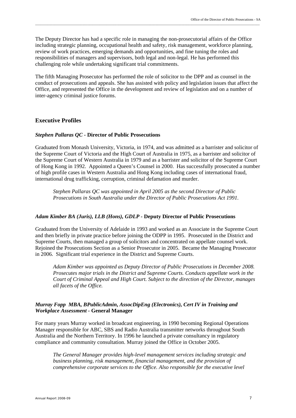The Deputy Director has had a specific role in managing the non-prosecutorial affairs of the Office including strategic planning, occupational health and safety, risk management, workforce planning, review of work practices, emerging demands and opportunities, and fine tuning the roles and responsibilities of managers and supervisors, both legal and non-legal. He has performed this challenging role while undertaking significant trial commitments.

\_\_\_\_\_\_\_\_\_\_\_\_\_\_\_\_\_\_\_\_\_\_\_\_\_\_\_\_\_\_\_\_\_\_\_\_\_\_\_\_\_\_\_\_\_\_\_\_\_\_\_\_\_\_\_\_\_\_\_\_\_\_\_\_\_\_\_\_\_\_\_\_\_\_\_\_\_\_\_\_\_\_\_\_\_\_\_\_\_\_\_\_\_\_\_\_\_\_\_\_\_\_\_\_\_\_\_\_\_\_\_\_\_\_\_\_\_\_\_\_\_\_\_\_\_\_\_\_\_

The fifth Managing Prosecutor has performed the role of solicitor to the DPP and as counsel in the conduct of prosecutions and appeals. She has assisted with policy and legislation issues that affect the Office, and represented the Office in the development and review of legislation and on a number of inter-agency criminal justice forums.

#### **Executive Profiles**

#### *Stephen Pallaras QC -* **Director of Public Prosecutions**

Graduated from Monash University, Victoria, in 1974, and was admitted as a barrister and solicitor of the Supreme Court of Victoria and the High Court of Australia in 1975, as a barrister and solicitor of the Supreme Court of Western Australia in 1979 and as a barrister and solicitor of the Supreme Court of Hong Kong in 1992. Appointed a Queen's Counsel in 2000. Has successfully prosecuted a number of high profile cases in Western Australia and Hong Kong including cases of international fraud, international drug trafficking, corruption, criminal defamation and murder.

*Stephen Pallaras QC was appointed in April 2005 as the second Director of Public Prosecutions in South Australia under the Director of Public Prosecutions Act 1991.* 

#### *Adam Kimber BA (Juris), LLB (Hons), GDLP -* **Deputy Director of Public Prosecutions**

Graduated from the University of Adelaide in 1993 and worked as an Associate in the Supreme Court and then briefly in private practice before joining the ODPP in 1995. Prosecuted in the District and Supreme Courts, then managed a group of solicitors and concentrated on appellate counsel work. Rejoined the Prosecutions Section as a Senior Prosecutor in 2005. Became the Managing Prosecutor in 2006. Significant trial experience in the District and Supreme Courts.

*Adam Kimber was appointed as Deputy Director of Public Prosecutions in December 2008. Prosecutes major trials in the District and Supreme Courts. Conducts appellate work in the Court of Criminal Appeal and High Court. Subject to the direction of the Director, manages all facets of the Office.* 

#### *Murray Fopp MBA, BPublicAdmin***,** *AssocDipEng (Electronics), Cert IV in Training and Workplace Assessment -* **General Manager**

For many years Murray worked in broadcast engineering, in 1990 becoming Regional Operations Manager responsible for ABC, SBS and Radio Australia transmitter networks throughout South Australia and the Northern Territory. In 1996 he launched a private consultancy in regulatory compliance and community consultation. Murray joined the Office in October 2005.

*The General Manager provides high-level management services including strategic and business planning, risk management, financial management, and the provision of comprehensive corporate services to the Office. Also responsible for the executive level*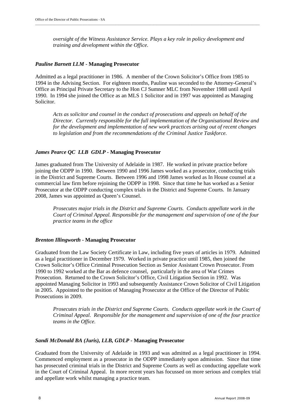*oversight of the Witness Assistance Service. Plays a key role in policy development and training and development within the Office.* 

\_\_\_\_\_\_\_\_\_\_\_\_\_\_\_\_\_\_\_\_\_\_\_\_\_\_\_\_\_\_\_\_\_\_\_\_\_\_\_\_\_\_\_\_\_\_\_\_\_\_\_\_\_\_\_\_\_\_\_\_\_\_\_\_\_\_\_\_\_\_\_\_\_\_\_\_\_\_\_\_\_\_\_\_\_\_\_\_\_\_\_\_\_\_\_\_\_\_\_\_\_\_\_\_\_\_\_\_\_\_\_\_\_\_\_\_\_\_\_\_\_\_\_\_\_\_\_\_\_

#### *Pauline Barnett LLM* **- Managing Prosecutor**

Admitted as a legal practitioner in 1986. A member of the Crown Solicitor's Office from 1985 to 1994 in the Advising Section. For eighteen months, Pauline was seconded to the Attorney-General's Office as Principal Private Secretary to the Hon CJ Sumner MLC from November 1988 until April 1990. In 1994 she joined the Office as an MLS 1 Solicitor and in 1997 was appointed as Managing Solicitor.

*Acts as solicitor and counsel in the conduct of prosecutions and appeals on behalf of the Director. Currently responsible for the full implementation of the Organisational Review and for the development and implementation of new work practices arising out of recent changes to legislation and from the recommendations of the Criminal Justice Taskforce.* 

#### *James Pearce QC LLB GDLP -* **Managing Prosecutor**

James graduated from The University of Adelaide in 1987. He worked in private practice before joining the ODPP in 1990. Between 1990 and 1996 James worked as a prosecutor, conducting trials in the District and Supreme Courts. Between 1996 and 1998 James worked as In House counsel at a commercial law firm before rejoining the ODPP in 1998. Since that time he has worked as a Senior Prosecutor at the ODPP conducting complex trials in the District and Supreme Courts. In January 2008, James was appointed as Queen's Counsel.

*Prosecutes major trials in the District and Supreme Courts. Conducts appellate work in the Court of Criminal Appeal. Responsible for the management and supervision of one of the four practice teams in the office* 

#### *Brenton Illingworth* **- Managing Prosecutor**

Graduated from the Law Society Certificate in Law, including five years of articles in 1979. Admitted as a legal practitioner in December 1979. Worked in private practice until 1985, then joined the Crown Solicitor's Office Criminal Prosecution Section as Senior Assistant Crown Prosecutor. From 1990 to 1992 worked at the Bar as defence counsel, particularly in the area of War Crimes Prosecution. Returned to the Crown Solicitor's Office, Civil Litigation Section in 1992. Was appointed Managing Solicitor in 1993 and subsequently Assistance Crown Solicitor of Civil Litigation in 2005. Appointed to the position of Managing Prosecutor at the Office of the Director of Public Prosecutions in 2009.

*Prosecutes trials in the District and Supreme Courts. Conducts appellate work in the Court of Criminal Appeal. Responsible for the management and supervision of one of the four practice teams in the Office.* 

#### *Sandi McDonald BA (Juris), LLB, GDLP -* **Managing Prosecutor**

Graduated from the University of Adelaide in 1993 and was admitted as a legal practitioner in 1994. Commenced employment as a prosecutor in the ODPP immediately upon admission. Since that time has prosecuted criminal trials in the District and Supreme Courts as well as conducting appellate work in the Court of Criminal Appeal. In more recent years has focussed on more serious and complex trial and appellate work whilst managing a practice team.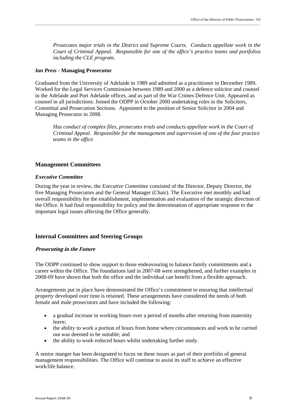*Prosecutes major trials in the District and Supreme Courts. Conducts appellate work in the Court of Criminal Appeal. Responsible for one of the office's practice teams and portfolios including the CLE program*.

\_\_\_\_\_\_\_\_\_\_\_\_\_\_\_\_\_\_\_\_\_\_\_\_\_\_\_\_\_\_\_\_\_\_\_\_\_\_\_\_\_\_\_\_\_\_\_\_\_\_\_\_\_\_\_\_\_\_\_\_\_\_\_\_\_\_\_\_\_\_\_\_\_\_\_\_\_\_\_\_\_\_\_\_\_\_\_\_\_\_\_\_\_\_\_\_\_\_\_\_\_\_\_\_\_\_\_\_\_\_\_\_\_\_\_\_\_\_\_\_\_\_\_\_\_\_\_\_\_

#### *Ian Press -* **Managing Prosecutor**

Graduated from the University of Adelaide in 1989 and admitted as a practitioner in December 1989. Worked for the Legal Services Commission between 1989 and 2000 as a defence solicitor and counsel in the Adelaide and Port Adelaide offices, and as part of the War Crimes Defence Unit. Appeared as counsel in all jurisdictions. Joined the ODPP in October 2000 undertaking roles in the Solicitors, Committal and Prosecution Sections. Appointed to the position of Senior Solicitor in 2004 and Managing Prosecutor in 2008.

*Has conduct of complex files, prosecutes trials and conducts appellate work in the Court of Criminal Appeal. Responsible for the management and supervision of one of the four practice teams in the office* 

#### **Management Committees**

#### *Executive Committee*

During the year in review, the *Executive Committee* consisted of the Director, Deputy Director, the five Managing Prosecutors and the General Manager (Chair). The Executive met monthly and had overall responsibility for the establishment, implementation and evaluation of the strategic direction of the Office. It had final responsibility for policy and the determination of appropriate response to the important legal issues affecting the Office generally.

#### **Internal Committees and Steering Groups**

#### **Prosecuting in the Future**

The ODPP continued to show support to those endeavouring to balance family commitments and a career within the Office. The foundations laid in 2007-08 were strengthened, and further examples in 2008-09 have shown that both the office and the individual can benefit from a flexible approach.

Arrangements put in place have demonstrated the Office's commitment to ensuring that intellectual property developed over time is retained. These arrangements have considered the needs of both female and male prosecutors and have included the following:

- a gradual increase in working hours over a period of months after returning from maternity leave;
- the ability to work a portion of hours from home where circumstances and work to be carried out was deemed to be suitable; and
- the ability to work reduced hours whilst undertaking further study.

A senior manger has been designated to focus on these issues as part of their portfolio of general management responsibilities. The Office will continue to assist its staff to achieve an effective work/life balance.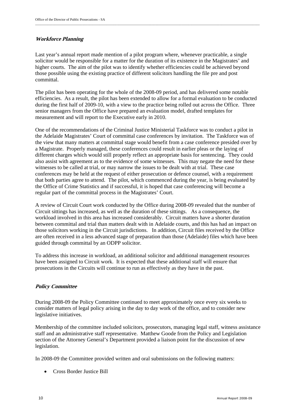### **Workforce Planning**

Last year's annual report made mention of a pilot program where, whenever practicable, a single solicitor would be responsible for a matter for the duration of its existence in the Magistrates' and higher courts. The aim of the pilot was to identify whether efficiencies could be achieved beyond those possible using the existing practice of different solicitors handling the file pre and post committal.

The pilot has been operating for the whole of the 2008-09 period, and has delivered some notable efficiencies. As a result, the pilot has been extended to allow for a formal evaluation to be conducted during the first half of 2009-10, with a view to the practice being rolled out across the Office. Three senior managers from the Office have prepared an evaluation model, drafted templates for measurement and will report to the Executive early in 2010.

One of the recommendations of the Criminal Justice Ministerial Taskforce was to conduct a pilot in the Adelaide Magistrates' Court of committal case conferences by invitation. The Taskforce was of the view that many matters at committal stage would benefit from a case conference presided over by a Magistrate. Properly managed, these conferences could result in earlier pleas or the laying of different charges which would still properly reflect an appropriate basis for sentencing. They could also assist with agreement as to the evidence of some witnesses. This may negate the need for these witnesses to be called at trial, or may narrow the issues to be dealt with at trial. These case conferences may be held at the request of either prosecution or defence counsel, with a requirement that both parties agree to attend. The pilot, which commenced during the year, is being evaluated by the Office of Crime Statistics and if successful, it is hoped that case conferencing will become a regular part of the committal process in the Magistrates' Court.

A review of Circuit Court work conducted by the Office during 2008-09 revealed that the number of Circuit sittings has increased, as well as the duration of these sittings. As a consequence, the workload involved in this area has increased considerably. Circuit matters have a shorter duration between committal and trial than matters dealt with in Adelaide courts, and this has had an impact on those solicitors working in the Circuit jurisdictions. In addition, Circuit files received by the Office are often received in a less advanced stage of preparation than those (Adelaide) files which have been guided through committal by an ODPP solicitor.

To address this increase in workload, an additional solicitor and additional management resources have been assigned to Circuit work. It is expected that these additional staff will ensure that prosecutions in the Circuits will continue to run as effectively as they have in the past.

### **Policy Committee**

During 2008-09 the Policy Committee continued to meet approximately once every six weeks to consider matters of legal policy arising in the day to day work of the office, and to consider new legislative initiatives.

Membership of the committee included solicitors, prosecutors, managing legal staff, witness assistance staff and an administrative staff representative. Matthew Goode from the Policy and Legislation section of the Attorney General's Department provided a liaison point for the discussion of new legislation.

In 2008-09 the Committee provided written and oral submissions on the following matters:

Cross Border Justice Bill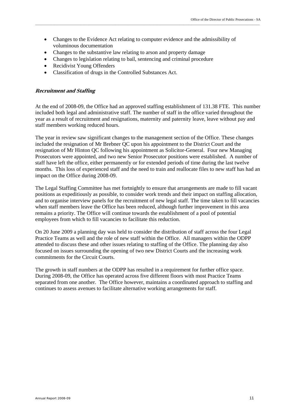- Changes to the Evidence Act relating to computer evidence and the admissibility of voluminous documentation
- Changes to the substantive law relating to arson and property damage
- Changes to legislation relating to bail, sentencing and criminal procedure
- Recidivist Young Offenders
- Classification of drugs in the Controlled Substances Act.

#### **Recruitment and Staffing**

At the end of 2008-09, the Office had an approved staffing establishment of 131.38 FTE. This number included both legal and administrative staff. The number of staff in the office varied throughout the year as a result of recruitment and resignations, maternity and paternity leave, leave without pay and staff members working reduced hours.

The year in review saw significant changes to the management section of the Office. These changes included the resignation of Mr Brebner QC upon his appointment to the District Court and the resignation of Mr Hinton QC following his appointment as Solicitor-General. Four new Managing Prosecutors were appointed, and two new Senior Prosecutor positions were established. A number of staff have left the office, either permanently or for extended periods of time during the last twelve months. This loss of experienced staff and the need to train and reallocate files to new staff has had an impact on the Office during 2008-09.

The Legal Staffing Committee has met fortnightly to ensure that arrangements are made to fill vacant positions as expeditiously as possible, to consider work trends and their impact on staffing allocation, and to organise interview panels for the recruitment of new legal staff. The time taken to fill vacancies when staff members leave the Office has been reduced, although further improvement in this area remains a priority. The Office will continue towards the establishment of a pool of potential employees from which to fill vacancies to facilitate this reduction.

On 20 June 2009 a planning day was held to consider the distribution of staff across the four Legal Practice Teams as well and the role of new staff within the Office. All managers within the ODPP attended to discuss these and other issues relating to staffing of the Office. The planning day also focused on issues surrounding the opening of two new District Courts and the increasing work commitments for the Circuit Courts.

The growth in staff numbers at the ODPP has resulted in a requirement for further office space. During 2008-09, the Office has operated across five different floors with most Practice Teams separated from one another. The Office however, maintains a coordinated approach to staffing and continues to assess avenues to facilitate alternative working arrangements for staff.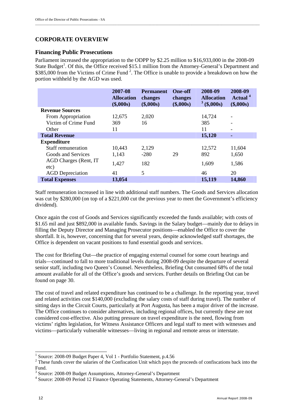### **CORPORATE OVERVIEW**

#### **Financing Public Prosecutions**

Parliament increased the appropriation to the ODPP by \$2.25 million to \$16,933,000 in the 2008-09 State Budget<sup>1</sup>. Of this, the Office received \$15.1 million from the Attorney-General's Department and \$385,000 from the Victims of Crime Fund<sup>2</sup>. The Office is unable to provide a breakdown on how the portion withheld by the AGD was used.

|                         | 2007-08<br><b>Allocation</b><br>(\$,000s) | <b>Permanent</b><br>changes<br>(\$,000s) | <b>One-off</b><br>changes<br>(\$,000s) | 2008-09<br><b>Allocation</b><br>$3($ \$,000s) | 2008-09<br>Actual <sup>4</sup><br>(\$,000s) |
|-------------------------|-------------------------------------------|------------------------------------------|----------------------------------------|-----------------------------------------------|---------------------------------------------|
| <b>Revenue Sources</b>  |                                           |                                          |                                        |                                               |                                             |
| From Appropriation      | 12,675                                    | 2,020                                    |                                        | 14,724                                        |                                             |
| Victim of Crime Fund    | 369                                       | 16                                       |                                        | 385                                           |                                             |
| Other                   | 11                                        |                                          |                                        | 11                                            |                                             |
| <b>Total Revenue</b>    |                                           |                                          |                                        | 15,120                                        |                                             |
| <b>Expenditure</b>      |                                           |                                          |                                        |                                               |                                             |
| Staff remuneration      | 10,443                                    | 2,129                                    |                                        | 12,572                                        | 11,604                                      |
| Goods and Services      | 1,143                                     | $-280$                                   | 29                                     | 892                                           | 1,650                                       |
| AGD Charges (Rent, IT)  | 1,427                                     | 182                                      |                                        | 1,609                                         | 1,586                                       |
| etc)                    |                                           |                                          |                                        |                                               |                                             |
| <b>AGD</b> Depreciation | 41                                        | 5                                        |                                        | 46                                            | 20                                          |
| <b>Total Expenses</b>   | 13,054                                    |                                          |                                        | 15,119                                        | 14,860                                      |

Staff remuneration increased in line with additional staff numbers. The Goods and Services allocation was cut by \$280,000 (on top of a \$221,000 cut the previous year to meet the Government's efficiency dividend).

Once again the cost of Goods and Services significantly exceeded the funds available; with costs of \$1.65 mil and just \$892,000 in available funds. Savings in the Salary budget—mainly due to delays in filling the Deputy Director and Managing Prosecutor positions—enabled the Office to cover the shortfall. It is, however, concerning that for several years, despite acknowledged staff shortages, the Office is dependent on vacant positions to fund essential goods and services.

The cost for Briefing Out—the practice of engaging external counsel for some court hearings and trials—continued to fall to more traditional levels during 2008-09 despite the departure of several senior staff, including two Queen's Counsel. Nevertheless, Briefing Out consumed 68% of the total amount available for all of the Office's goods and services. Further details on Briefing Out can be found on page 30.

The cost of travel and related expenditure has continued to be a challenge. In the reporting year, travel and related activities cost \$140,000 (excluding the salary costs of staff during travel). The number of sitting days in the Circuit Courts, particularly at Port Augusta, has been a major driver of the increase. The Office continues to consider alternatives, including regional offices, but currently these are not considered cost-effective. Also putting pressure on travel expenditure is the need, flowing from victims' rights legislation, for Witness Assistance Officers and legal staff to meet with witnesses and victims—particularly vulnerable witnesses—living in regional and remote areas or interstate.

 1 Source: 2008-09 Budget Paper 4, Vol 1 - Portfolio Statement, p.4.56

 $2$  These funds cover the salaries of the Confiscation Unit which pays the proceeds of confiscations back into the Fund.

<sup>&</sup>lt;sup>3</sup> Source: 2008-09 Budget Assumptions, Attorney-General's Department 4 Source: 2008-09 Budget Assumptions, Attorney, Attorney, General

Source: 2008-09 Period 12 Finance Operating Statements, Attorney-General's Department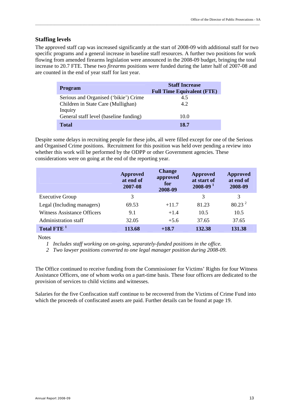#### **Staffing levels**

The approved staff cap was increased significantly at the start of 2008-09 with additional staff for two specific programs and a general increase in baseline staff resources. A further two positions for work flowing from amended firearms legislation were announced in the 2008-09 budget, bringing the total increase to 20.7 FTE. These two *firearms* positions were funded during the latter half of 2007-08 and are counted in the end of year staff for last year.

\_\_\_\_\_\_\_\_\_\_\_\_\_\_\_\_\_\_\_\_\_\_\_\_\_\_\_\_\_\_\_\_\_\_\_\_\_\_\_\_\_\_\_\_\_\_\_\_\_\_\_\_\_\_\_\_\_\_\_\_\_\_\_\_\_\_\_\_\_\_\_\_\_\_\_\_\_\_\_\_\_\_\_\_\_\_\_\_\_\_\_\_\_\_\_\_\_\_\_\_\_\_\_\_\_\_\_\_\_\_\_\_\_\_\_\_\_\_\_\_\_\_\_\_\_\_\_\_\_

| <b>Program</b>                         | <b>Staff Increase</b><br><b>Full Time Equivalent (FTE)</b> |
|----------------------------------------|------------------------------------------------------------|
| Serious and Organised ('bikie') Crime  | 4.5                                                        |
| Children in State Care (Mullighan)     | 4.2                                                        |
| Inquiry                                |                                                            |
| General staff level (baseline funding) | 10.0                                                       |
| Total                                  | 18.7                                                       |

Despite some delays in recruiting people for these jobs, all were filled except for one of the Serious and Organised Crime positions. Recruitment for this position was held over pending a review into whether this work will be performed by the ODPP or other Government agencies. These considerations were on going at the end of the reporting year.

|                                    | <b>Approved</b><br>at end of<br>2007-08 | <b>Change</b><br>approved<br>for<br>2008-09 | <b>Approved</b><br>at start of<br>$2008 - 091$ | Approved<br>at end of<br>2008-09 |
|------------------------------------|-----------------------------------------|---------------------------------------------|------------------------------------------------|----------------------------------|
| <b>Executive Group</b>             | 3                                       |                                             | 3                                              | 3                                |
| Legal (Including managers)         | 69.53                                   | $+11.7$                                     | 81.23                                          | $80.23^{2}$                      |
| <b>Witness Assistance Officers</b> | 9.1                                     | $+1.4$                                      | 10.5                                           | 10.5                             |
| Administration staff               | 32.05                                   | $+5.6$                                      | 37.65                                          | 37.65                            |
| Total FTE <sup>1</sup>             | 113.68                                  | $+18.7$                                     | 132.38                                         | 131.38                           |

**Notes** 

*1 Includes staff working on on-going, separately-funded positions in the office.* 

*2 Two lawyer positions converted to one legal manager position during 2008-09.* 

The Office continued to receive funding from the Commissioner for Victims' Rights for four Witness Assistance Officers, one of whom works on a part-time basis. These four officers are dedicated to the provision of services to child victims and witnesses.

Salaries for the five Confiscation staff continue to be recovered from the Victims of Crime Fund into which the proceeds of confiscated assets are paid. Further details can be found at page 19.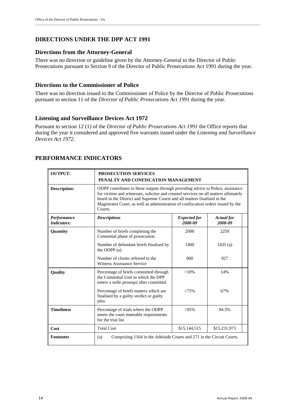### **DIRECTIONS UNDER THE DPP ACT 1991**

#### **Directions from the Attorney-General**

There was no direction or guideline given by the Attorney-General to the Director of Public Prosecutions pursuant to Section 9 of the Director of Public Prosecutions Act 1991 during the year.

#### **Directions to the Commissioner of Police**

There was no direction issued to the Commissioner of Police by the Director of Public Prosecutions pursuant to section 11 of the *Director of Public Prosecutions Act 1991* during the year.

#### **Listening and Surveillance Devices Act 1972**

Pursuant to section 12 (1) of the *Director of Public Prosecutions Act 1991* the Office reports that during the year it considered and approved five warrants issued under the *Listening and Surveillance Devices Act 1972*.

| <b>OUTPUT:</b>                    | <b>PROSECUTION SERVICES</b><br>PENALTY AND CONFISCATION MANAGEMENT                                                                                                                                                                                                                                                                                   |              |              |  |  |  |  |
|-----------------------------------|------------------------------------------------------------------------------------------------------------------------------------------------------------------------------------------------------------------------------------------------------------------------------------------------------------------------------------------------------|--------------|--------------|--|--|--|--|
| <b>Description:</b>               | ODPP contributes to these outputs through providing advice to Police, assistance<br>for victims and witnesses, solicitor and counsel services on all matters ultimately<br>heard in the District and Supreme Courts and all matters finalised in the<br>Magistrates Court, as well as administration of confiscation orders issued by the<br>Courts. |              |              |  |  |  |  |
| Performance<br><b>Indicators:</b> | <b>Descriptions</b><br><i>Expected for</i><br><b>Actual</b> for<br>2008-09<br>2008-09                                                                                                                                                                                                                                                                |              |              |  |  |  |  |
| Quantity                          | Number of briefs completing the<br>Committal phase of prosecution                                                                                                                                                                                                                                                                                    | 2000         | 2259         |  |  |  |  |
|                                   | Number of defendant briefs finalised by<br>the ODPP $(a)$                                                                                                                                                                                                                                                                                            | 1400         | 1435(a)      |  |  |  |  |
|                                   | Number of clients referred to the<br>Witness Assistance Service                                                                                                                                                                                                                                                                                      | 900          | 927          |  |  |  |  |
| <b>Quality</b>                    | Percentage of briefs committed through<br>the Committal Unit in which the DPP<br>enters a nolle prosequi after committal                                                                                                                                                                                                                             | $< 10\%$     | 14%          |  |  |  |  |
|                                   | Percentage of briefs matters which are<br>finalised by a guilty verdict or guilty<br>plea                                                                                                                                                                                                                                                            | >75%         | 67%          |  |  |  |  |
| <b>Timeliness</b>                 | Percentage of trials where the ODPP<br>meets the court timetable requirements<br>for the trial list                                                                                                                                                                                                                                                  | $>95\%$      | 94.3%        |  |  |  |  |
| Cost                              | <b>Total Cost</b>                                                                                                                                                                                                                                                                                                                                    | \$15,144,515 | \$15,231,973 |  |  |  |  |
| <b>Footnotes</b>                  | (a)<br>Comprising 1164 in the Adelaide Courts and 271 in the Circuit Courts.                                                                                                                                                                                                                                                                         |              |              |  |  |  |  |

#### **PERFORMANCE INDICATORS**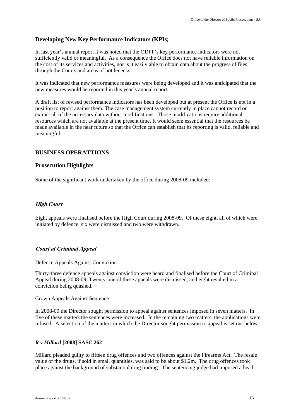#### **Developing New Key Performance Indicators (KPIs***)*

In last year's annual report it was noted that the ODPP's key performance indicators were not sufficiently valid or meaningful. As a consequence the Office does not have reliable information on the cost of its services and activities, nor is it easily able to obtain data about the progress of files through the Courts and areas of bottlenecks.

\_\_\_\_\_\_\_\_\_\_\_\_\_\_\_\_\_\_\_\_\_\_\_\_\_\_\_\_\_\_\_\_\_\_\_\_\_\_\_\_\_\_\_\_\_\_\_\_\_\_\_\_\_\_\_\_\_\_\_\_\_\_\_\_\_\_\_\_\_\_\_\_\_\_\_\_\_\_\_\_\_\_\_\_\_\_\_\_\_\_\_\_\_\_\_\_\_\_\_\_\_\_\_\_\_\_\_\_\_\_\_\_\_\_\_\_\_\_\_\_\_\_\_\_\_\_\_\_\_

It was indicated that new performance measures were being developed and it was anticipated that the new measures would be reported in this year's annual report.

A draft list of revised performance indicators has been developed but at present the Office is not in a position to report against them. The case management system currently in place cannot record or extract all of the necessary data without modifications. Those modifications require additional resources which are not available at the present time. It would seem essential that the resources be made available in the near future so that the Office can establish that its reporting is valid, reliable and meaningful.

#### **BUSINESS OPERATTIONS**

#### **Prosecution Highlights**

Some of the significant work undertaken by the office during 2008-09 included:

#### **High Court**

Eight appeals were finalised before the High Court during 2008-09. Of these eight, all of which were initiated by defence, six were dismissed and two were withdrawn.

#### **Court of Criminal Appeal**

#### Defence Appeals Against Conviction

Thirty-three defence appeals against conviction were heard and finalised before the Court of Criminal Appeal during 2008-09. Twenty-one of these appeals were dismissed, and eight resulted in a conviction being quashed.

#### Crown Appeals Against Sentence

In 2008-09 the Director sought permission to appeal against sentences imposed in seven matters. In five of these matters the sentences were increased. In the remaining two matters, the applications were refused. A selection of the matters in which the Director sought permission to appeal is set out below.

#### *R v Millard* **[2008] SASC 262**

Millard pleaded guilty to fifteen drug offences and two offences against the Firearms Act. The resale value of the drugs, if sold in small quantities, was said to be about \$1.2m. The drug offences took place against the background of substantial drug trading. The sentencing judge had imposed a head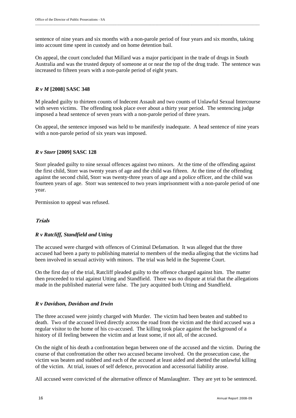sentence of nine years and six months with a non-parole period of four years and six months, taking into account time spent in custody and on home detention bail.

On appeal, the court concluded that Millard was a major participant in the trade of drugs in South Australia and was the trusted deputy of someone at or near the top of the drug trade. The sentence was increased to fifteen years with a non-parole period of eight years.

#### *R v M* **[2008] SASC 348**

M pleaded guilty to thirteen counts of Indecent Assault and two counts of Unlawful Sexual Intercourse with seven victims. The offending took place over about a thirty year period. The sentencing judge imposed a head sentence of seven years with a non-parole period of three years.

On appeal, the sentence imposed was held to be manifestly inadequate. A head sentence of nine years with a non-parole period of six years was imposed.

#### *R v Storr* **[2009] SASC 128**

Storr pleaded guilty to nine sexual offences against two minors. At the time of the offending against the first child, Storr was twenty years of age and the child was fifteen. At the time of the offending against the second child, Storr was twenty-three years of age and a police officer, and the child was fourteen years of age. Storr was sentenced to two years imprisonment with a non-parole period of one year.

Permission to appeal was refused.

#### **Trials**

#### *R v Ratcliff, Standfield and Utting*

The accused were charged with offences of Criminal Defamation. It was alleged that the three accused had been a party to publishing material to members of the media alleging that the victims had been involved in sexual activity with minors. The trial was held in the Supreme Court.

On the first day of the trial, Ratcliff pleaded guilty to the offence charged against him. The matter then proceeded to trial against Utting and Standfield. There was no dispute at trial that the allegations made in the published material were false. The jury acquitted both Utting and Standfield.

#### *R v Davidson, Davidson and Irwin*

The three accused were jointly charged with Murder. The victim had been beaten and stabbed to death. Two of the accused lived directly across the road from the victim and the third accused was a regular visitor to the home of his co-accused. The killing took place against the background of a history of ill feeling between the victim and at least some, if not all, of the accused.

On the night of his death a confrontation began between one of the accused and the victim. During the course of that confrontation the other two accused became involved. On the prosecution case, the victim was beaten and stabbed and each of the accused at least aided and abetted the unlawful killing of the victim. At trial, issues of self defence, provocation and accessorial liability arose.

All accused were convicted of the alternative offence of Manslaughter. They are yet to be sentenced.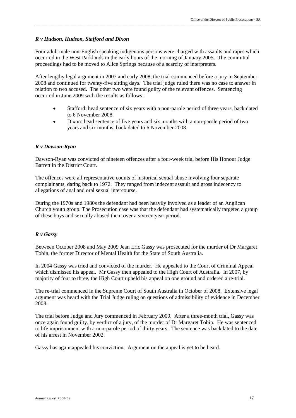#### *R v Hudson, Hudson, Stafford and Dixon*

Four adult male non-English speaking indigenous persons were charged with assaults and rapes which occurred in the West Parklands in the early hours of the morning of January 2005. The committal proceedings had to be moved to Alice Springs because of a scarcity of interpreters.

After lengthy legal argument in 2007 and early 2008, the trial commenced before a jury in September 2008 and continued for twenty-five sitting days. The trial judge ruled there was no case to answer in relation to two accused. The other two were found guilty of the relevant offences. Sentencing occurred in June 2009 with the results as follows:

- Stafford: head sentence of six years with a non-parole period of three years, back dated to 6 November 2008.
- Dixon: head sentence of five years and six months with a non-parole period of two years and six months, back dated to 6 November 2008.

#### *R v Dawson-Ryan*

Dawson-Ryan was convicted of nineteen offences after a four-week trial before His Honour Judge Barrett in the District Court.

The offences were all representative counts of historical sexual abuse involving four separate complainants, dating back to 1972. They ranged from indecent assault and gross indecency to allegations of anal and oral sexual intercourse.

During the 1970s and 1980s the defendant had been heavily involved as a leader of an Anglican Church youth group. The Prosecution case was that the defendant had systematically targeted a group of these boys and sexually abused them over a sixteen year period.

#### *R v Gassy*

Between October 2008 and May 2009 Jean Eric Gassy was prosecuted for the murder of Dr Margaret Tobin, the former Director of Mental Health for the State of South Australia.

In 2004 Gassy was tried and convicted of the murder. He appealed to the Court of Criminal Appeal which dismissed his appeal. Mr Gassy then appealed to the High Court of Australia. In 2007, by majority of four to three, the High Court upheld his appeal on one ground and ordered a re-trial.

The re-trial commenced in the Supreme Court of South Australia in October of 2008. Extensive legal argument was heard with the Trial Judge ruling on questions of admissibility of evidence in December 2008.

The trial before Judge and Jury commenced in February 2009. After a three-month trial, Gassy was once again found guilty, by verdict of a jury, of the murder of Dr Margaret Tobin. He was sentenced to life imprisonment with a non-parole period of thirty years. The sentence was backdated to the date of his arrest in November 2002.

Gassy has again appealed his conviction. Argument on the appeal is yet to be heard.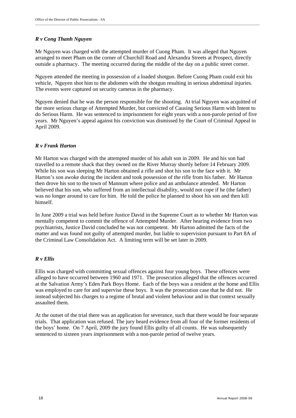#### *R v Cong Thanh Nguyen*

Mr Nguyen was charged with the attempted murder of Cuong Pham. It was alleged that Nguyen arranged to meet Pham on the corner of Churchill Road and Alexandra Streets at Prospect, directly outside a pharmacy. The meeting occurred during the middle of the day on a public street corner.

Nguyen attended the meeting in possession of a loaded shotgun. Before Cuong Pham could exit his vehicle, Nguyen shot him to the abdomen with the shotgun resulting in serious abdominal injuries. The events were captured on security cameras in the pharmacy.

Nguyen denied that he was the person responsible for the shooting. At trial Nguyen was acquitted of the more serious charge of Attempted Murder, but convicted of Causing Serious Harm with Intent to do Serious Harm. He was sentenced to imprisonment for eight years with a non-parole period of five years. Mr Nguyen's appeal against his conviction was dismissed by the Court of Criminal Appeal in April 2009.

### *R v Frank Harton*

Mr Harton was charged with the attempted murder of his adult son in 2009. He and his son had travelled to a remote shack that they owned on the River Murray shortly before 14 February 2009. While his son was sleeping Mr Harton obtained a rifle and shot his son to the face with it. Mr Harton's son awoke during the incident and took possession of the rifle from his father. Mr Harton then drove his son to the town of Mannum where police and an ambulance attended. Mr Harton believed that his son, who suffered from an intellectual disability, would not cope if he (the father) was no longer around to care for him. He told the police he planned to shoot his son and then kill himself.

In June 2009 a trial was held before Justice David in the Supreme Court as to whether Mr Harton was mentally competent to commit the offence of Attempted Murder. After hearing evidence from two psychiatrists, Justice David concluded he was not competent. Mr Harton admitted the facts of the matter and was found not guilty of attempted murder, but liable to supervision pursuant to Part 8A of the Criminal Law Consolidation Act. A limiting term will be set later in 2009.

#### *R v Ellis*

Ellis was charged with committing sexual offences against four young boys. These offences were alleged to have occurred between 1960 and 1971. The prosecution alleged that the offences occurred at the Salvation Army's Eden Park Boys Home. Each of the boys was a resident at the home and Ellis was employed to care for and supervise these boys. It was the prosecution case that he did not. He instead subjected his charges to a regime of brutal and violent behaviour and in that context sexually assaulted them.

At the outset of the trial there was an application for severance, such that there would be four separate trials. That application was refused. The jury heard evidence from all four of the former residents of the boys' home. On 7 April, 2009 the jury found Ellis guilty of all counts. He was subsequently sentenced to sixteen years imprisonment with a non-parole period of twelve years.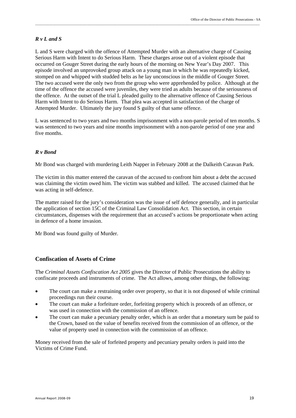#### *R v L and S*

L and S were charged with the offence of Attempted Murder with an alternative charge of Causing Serious Harm with Intent to do Serious Harm. These charges arose out of a violent episode that occurred on Gouger Street during the early hours of the morning on New Year's Day 2007. This episode involved an unprovoked group attack on a young man in which he was repeatedly kicked, stomped on and whipped with studded belts as he lay unconscious in the middle of Gouger Street. The two accused were the only two from the group who were apprehended by police. Although at the time of the offence the accused were juveniles, they were tried as adults because of the seriousness of the offence. At the outset of the trial L pleaded guilty to the alternative offence of Causing Serious Harm with Intent to do Serious Harm. That plea was accepted in satisfaction of the charge of Attempted Murder. Ultimately the jury found S guilty of that same offence.

\_\_\_\_\_\_\_\_\_\_\_\_\_\_\_\_\_\_\_\_\_\_\_\_\_\_\_\_\_\_\_\_\_\_\_\_\_\_\_\_\_\_\_\_\_\_\_\_\_\_\_\_\_\_\_\_\_\_\_\_\_\_\_\_\_\_\_\_\_\_\_\_\_\_\_\_\_\_\_\_\_\_\_\_\_\_\_\_\_\_\_\_\_\_\_\_\_\_\_\_\_\_\_\_\_\_\_\_\_\_\_\_\_\_\_\_\_\_\_\_\_\_\_\_\_\_\_\_\_

L was sentenced to two years and two months imprisonment with a non-parole period of ten months. S was sentenced to two years and nine months imprisonment with a non-parole period of one year and five months.

#### *R v Bond*

Mr Bond was charged with murdering Leith Napper in February 2008 at the Dalkeith Caravan Park.

The victim in this matter entered the caravan of the accused to confront him about a debt the accused was claiming the victim owed him. The victim was stabbed and killed. The accused claimed that he was acting in self-defence.

The matter raised for the jury's consideration was the issue of self defence generally, and in particular the application of section 15C of the Criminal Law Consolidation Act. This section, in certain circumstances, dispenses with the requirement that an accused's actions be proportionate when acting in defence of a home invasion.

Mr Bond was found guilty of Murder.

#### **Confiscation of Assets of Crime**

The *Criminal Assets Confiscation Act 2005* gives the Director of Public Prosecutions the ability to confiscate proceeds and instruments of crime. The Act allows, among other things, the following:

- The court can make a restraining order over property, so that it is not disposed of while criminal proceedings run their course.
- The court can make a forfeiture order, forfeiting property which is proceeds of an offence, or was used in connection with the commission of an offence.
- The court can make a pecuniary penalty order, which is an order that a monetary sum be paid to the Crown, based on the value of benefits received from the commission of an offence, or the value of property used in connection with the commission of an offence.

Money received from the sale of forfeited property and pecuniary penalty orders is paid into the Victims of Crime Fund.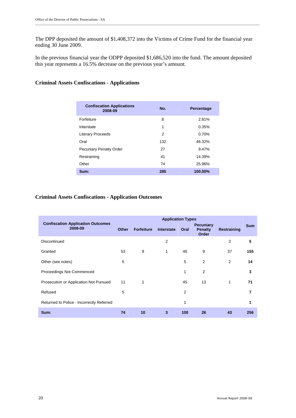The DPP deposited the amount of \$1,408,372 into the Victims of Crime Fund for the financial year ending 30 June 2009.

In the previous financial year the ODPP deposited \$1,686,520 into the fund. The amount deposited this year represents a 16.5% decrease on the previous year's amount.

#### **Criminal Assets Confiscations - Applications**

| <b>Confiscation Applications</b><br>2008-09 | No. | <b>Percentage</b> |
|---------------------------------------------|-----|-------------------|
| Forfeiture                                  | 8   | 2.81%             |
| Interstate                                  | 1   | 0.35%             |
| <b>Literary Proceeds</b>                    | 2   | 0.70%             |
| Oral                                        | 132 | 46.32%            |
| <b>Pecuniary Penalty Order</b>              | 27  | 9.47%             |
| Restraining                                 | 41  | 14.39%            |
| Other                                       | 74  | 25.96%            |
| Sum:                                        | 285 | 100.00%           |

#### **Criminal Assets Confiscations - Application Outcomes**

|                                                     | <b>Application Types</b> |                   |                   |      |                                             |             |            |
|-----------------------------------------------------|--------------------------|-------------------|-------------------|------|---------------------------------------------|-------------|------------|
| <b>Confiscation Application Outcomes</b><br>2008-09 | <b>Other</b>             | <b>Forfeiture</b> | <b>Interstate</b> | Oral | <b>Pecuniary</b><br><b>Penalty</b><br>Order | Restraining | <b>Sum</b> |
| Discontinued                                        |                          |                   | 2                 |      |                                             | 3           | 5          |
| Granted                                             | 53                       | 9                 | 1                 | 46   | 9                                           | 37          | 155        |
| Other (see notes)                                   | 5                        |                   |                   | 5    | 2                                           | 2           | 14         |
| Proceedings Not Commenced                           |                          |                   |                   | 1    | 2                                           |             | 3          |
| Prosecution or Application Not Pursued              | 11                       | 1                 |                   | 45   | 13                                          | 1           | 71         |
| Refused                                             | 5                        |                   |                   | 2    |                                             |             | 7          |
| Returned to Police - Incorrectly Referred           |                          |                   |                   | 1    |                                             |             | 1          |
| Sum:                                                | 74                       | 10                | 3                 | 100  | 26                                          | 43          | 256        |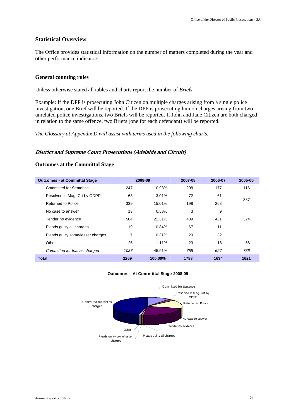#### **Statistical Overview**

The Office provides statistical information on the number of matters completed during the year and other performance indicators.

\_\_\_\_\_\_\_\_\_\_\_\_\_\_\_\_\_\_\_\_\_\_\_\_\_\_\_\_\_\_\_\_\_\_\_\_\_\_\_\_\_\_\_\_\_\_\_\_\_\_\_\_\_\_\_\_\_\_\_\_\_\_\_\_\_\_\_\_\_\_\_\_\_\_\_\_\_\_\_\_\_\_\_\_\_\_\_\_\_\_\_\_\_\_\_\_\_\_\_\_\_\_\_\_\_\_\_\_\_\_\_\_\_\_\_\_\_\_\_\_\_\_\_\_\_\_\_\_\_

#### **General counting rules**

Unless otherwise stated all tables and charts report the number of *Briefs*.

Example: If the DPP is prosecuting John Citizen on multiple charges arising from a single police investigation, one Brief will be reported. If the DPP is prosecuting him on charges arising from two unrelated police investigations, two Briefs will be reported. If John and Jane Citizen are both charged in relation to the same offence, two Briefs (one for each defendant) will be reported.

*The Glossary at Appendix D will assist with terms used in the following charts.*

#### **District and Supreme Court Prosecutions (Adelaide and Circuit)**

#### **Outcomes at the Committal Stage**

| <b>Outcomes - at Committal Stage</b> |      | 2008-09 | 2007-08 | 2006-07 | 2005-06 |
|--------------------------------------|------|---------|---------|---------|---------|
| Committed for Sentence               | 247  | 10.93%  | 208     | 177     | 116     |
| Resolved in Mag. Crt by ODPP         | 68   | 3.01%   | 72      | 61      |         |
| Returned to Police                   | 339  | 15.01%  | 198     | 268     | 337     |
| No case to answer                    | 13   | 0.58%   | 3       | 9       |         |
| Tender no evidence                   | 504  | 22.31%  | 439     | 431     | 324     |
| Pleads guilty all charges            | 19   | 0.84%   | 67      | 11      |         |
| Pleads quilty some/lesser charges    | 7    | 0.31%   | 20      | 32      |         |
| Other                                | 25   | 1.11%   | 23      | 18      | 58      |
| Committed for trial as charged       | 1037 | 45.91%  | 758     | 627     | 786     |
| <b>Total</b>                         | 2259 | 100.00% | 1788    | 1634    | 1621    |

#### **Outcomes - At Committal Stage 2008-09**

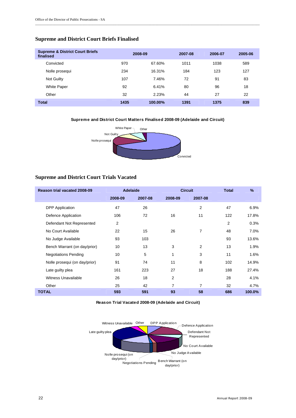#### **Supreme and District Court Briefs Finalised**

| <b>Supreme &amp; District Court Briefs</b><br>finalised |      | 2008-09 | 2007-08 | 2006-07 | 2005-06 |
|---------------------------------------------------------|------|---------|---------|---------|---------|
| Convicted                                               | 970  | 67.60%  | 1011    | 1038    | 589     |
| Nolle prosequi                                          | 234  | 16.31%  | 184     | 123     | 127     |
| Not Guilty                                              | 107  | 7.46%   | 72      | 91      | 83      |
| <b>White Paper</b>                                      | 92   | 6.41%   | 80      | 96      | 18      |
| Other                                                   | 32   | 2.23%   | 44      | 27      | 22      |
| <b>Total</b>                                            | 1435 | 100.00% | 1391    | 1375    | 839     |

\_\_\_\_\_\_\_\_\_\_\_\_\_\_\_\_\_\_\_\_\_\_\_\_\_\_\_\_\_\_\_\_\_\_\_\_\_\_\_\_\_\_\_\_\_\_\_\_\_\_\_\_\_\_\_\_\_\_\_\_\_\_\_\_\_\_\_\_\_\_\_\_\_\_\_\_\_\_\_\_\_\_\_\_\_\_\_\_\_\_\_\_\_\_\_\_\_\_\_\_\_\_\_\_\_\_\_\_\_\_\_\_\_\_\_\_\_\_\_\_\_\_\_\_\_\_\_\_\_

**Supreme and District Court Matters Finalised 2008-09 (Adelaide and Circuit)**



#### **Supreme and District Court Trials Vacated**

| <b>Reason trial vacated 2008-09</b> |         | <b>Adelaide</b> | <b>Circuit</b> |                | <b>Total</b> | $\%$   |
|-------------------------------------|---------|-----------------|----------------|----------------|--------------|--------|
|                                     | 2008-09 | 2007-08         | 2008-09        | 2007-08        |              |        |
| <b>DPP</b> Application              | 47      | 26              |                | $\overline{2}$ | 47           | 6.9%   |
| Defence Application                 | 106     | 72              | 16             | 11             | 122          | 17.8%  |
| Defendant Not Represented           | 2       |                 |                |                | 2            | 0.3%   |
| No Court Available                  | 22      | 15              | 26             | 7              | 48           | 7.0%   |
| No Judge Available                  | 93      | 103             |                |                | 93           | 13.6%  |
| Bench Warrant (on day/prior)        | 10      | 13              | 3              | 2              | 13           | 1.9%   |
| <b>Negotiations Pending</b>         | 10      | 5               | 1              | 3              | 11           | 1.6%   |
| Nolle prosequi (on day/prior)       | 91      | 74              | 11             | 8              | 102          | 14.9%  |
| Late guilty plea                    | 161     | 223             | 27             | 18             | 188          | 27.4%  |
| Witness Unavailable                 | 26      | 18              | $\overline{2}$ |                | 28           | 4.1%   |
| Other                               | 25      | 42              | $\overline{7}$ | 7              | 32           | 4.7%   |
| <b>TOTAL</b>                        | 593     | 591             | 93             | 58             | 686          | 100.0% |

**Reason Trial Vacated 2008-09 (Adelaide and Circuit)**

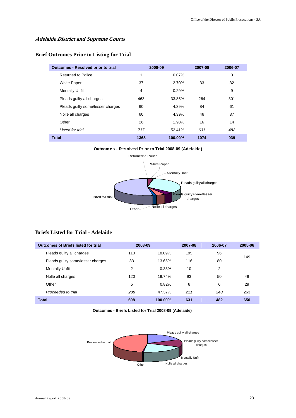#### **Adelaide District and Supreme Courts**

#### **Brief Outcomes Prior to Listing for Trial**

| <b>Outcomes - Resolved prior to trial</b> |      | 2008-09 | 2007-08 | 2006-07 |
|-------------------------------------------|------|---------|---------|---------|
| <b>Returned to Police</b>                 | 1    | 0.07%   |         | 3       |
| <b>White Paper</b>                        | 37   | 2.70%   | 33      | 32      |
| <b>Mentally Unfit</b>                     | 4    | 0.29%   |         | 9       |
| Pleads quilty all charges                 | 463  | 33.85%  | 264     | 301     |
| Pleads quilty some/lesser charges         | 60   | 4.39%   | 84      | 61      |
| Nolle all charges                         | 60   | 4.39%   | 46      | 37      |
| Other                                     | 26   | 1.90%   | 16      | 14      |
| Listed for trial                          | 717  | 52.41%  | 631     | 482     |
| <b>Total</b>                              | 1368 | 100.00% | 1074    | 939     |

\_\_\_\_\_\_\_\_\_\_\_\_\_\_\_\_\_\_\_\_\_\_\_\_\_\_\_\_\_\_\_\_\_\_\_\_\_\_\_\_\_\_\_\_\_\_\_\_\_\_\_\_\_\_\_\_\_\_\_\_\_\_\_\_\_\_\_\_\_\_\_\_\_\_\_\_\_\_\_\_\_\_\_\_\_\_\_\_\_\_\_\_\_\_\_\_\_\_\_\_\_\_\_\_\_\_\_\_\_\_\_\_\_\_\_\_\_\_\_\_\_\_\_\_\_\_\_\_\_

**Outcomes - Resolved Prior to Trial 2008-09 (Adelaide)**



#### **Briefs Listed for Trial - Adelaide**

| <b>Outcomes of Briefs listed for trial</b> | 2008-09 |         | 2007-08 | 2006-07 | 2005-06 |
|--------------------------------------------|---------|---------|---------|---------|---------|
| Pleads guilty all charges                  | 110     | 18.09%  | 195     | 96      | 149     |
| Pleads guilty some/lesser charges          | 83      | 13.65%  | 116     | 80      |         |
| <b>Mentally Unfit</b>                      | 2       | 0.33%   | 10      | 2       |         |
| Nolle all charges                          | 120     | 19.74%  | 93      | 50      | 49      |
| Other                                      | 5       | 0.82%   | 6       | 6       | 29      |
| Proceeded to trial                         | 288     | 47.37%  | 211     | 248     | 263     |
| <b>Total</b>                               | 608     | 100.00% | 631     | 482     | 650     |

**Outcomes - Briefs Listed for Trial 2008-09 (Adelaide)**

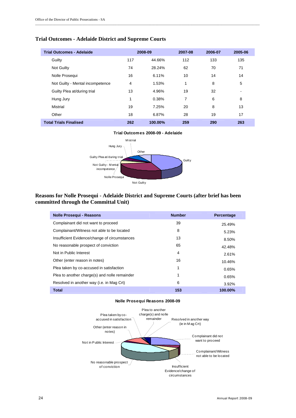#### **Trial Outcomes - Adelaide District and Supreme Courts**

| <b>Trial Outcomes - Adelaide</b> |     | 2008-09 | 2007-08 | 2006-07 | 2005-06 |
|----------------------------------|-----|---------|---------|---------|---------|
| Guilty                           | 117 | 44.66%  | 112     | 133     | 135     |
| Not Guilty                       | 74  | 28.24%  | 62      | 70      | 71      |
| Nolle Prosequi                   | 16  | 6.11%   | 10      | 14      | 14      |
| Not Guilty - Mental incompetence | 4   | 1.53%   | 1       | 8       | 5       |
| Guilty Plea at/during trial      | 13  | 4.96%   | 19      | 32      | -       |
| Hung Jury                        | 1   | 0.38%   | 7       | 6       | 8       |
| Mistrial                         | 19  | 7.25%   | 20      | 8       | 13      |
| Other                            | 18  | 6.87%   | 28      | 19      | 17      |
| <b>Total Trials Finalised</b>    | 262 | 100.00% | 259     | 290     | 263     |

\_\_\_\_\_\_\_\_\_\_\_\_\_\_\_\_\_\_\_\_\_\_\_\_\_\_\_\_\_\_\_\_\_\_\_\_\_\_\_\_\_\_\_\_\_\_\_\_\_\_\_\_\_\_\_\_\_\_\_\_\_\_\_\_\_\_\_\_\_\_\_\_\_\_\_\_\_\_\_\_\_\_\_\_\_\_\_\_\_\_\_\_\_\_\_\_\_\_\_\_\_\_\_\_\_\_\_\_\_\_\_\_\_\_\_\_\_\_\_\_\_\_\_\_\_\_\_\_\_

#### **Trial Outcomes 2008-09 - Adelaide**



#### **Reasons for Nolle Prosequi - Adelaide District and Supreme Courts (after brief has been committed through the Committal Unit)**

| <b>Nolle Prosequi - Reasons</b>               | <b>Number</b>  | Percentage |
|-----------------------------------------------|----------------|------------|
| Complainant did not want to proceed           | 39             | 25.49%     |
| Complainant/Witness not able to be located    | 8              | 5.23%      |
| Insufficient Evidence/change of circumstances | 13             | 8.50%      |
| No reasonable prospect of conviction          | 65             | 42.48%     |
| Not in Public Interest                        | $\overline{4}$ | 2.61%      |
| Other (enter reason in notes)                 | 16             | 10.46%     |
| Plea taken by co-accused in satisfaction      | 1              | 0.65%      |
| Plea to another charge(s) and nolle remainder | 1              | 0.65%      |
| Resolved in another way (i.e. in Mag Crt)     | 6              | 3.92%      |
| <b>Total</b>                                  | 153            | 100.00%    |

#### **Nolle Prosequi Reasons 2008-09**

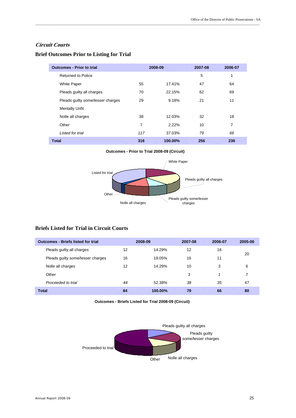#### **Circuit Courts**

| <b>Outcomes - Prior to trial</b>  |     | 2008-09 | 2007-08 | 2006-07 |
|-----------------------------------|-----|---------|---------|---------|
| <b>Returned to Police</b>         |     |         | 5       | 1       |
| <b>White Paper</b>                | 55  | 17.41%  | 47      | 64      |
| Pleads guilty all charges         | 70  | 22.15%  | 62      | 69      |
| Pleads guilty some/lesser charges | 29  | 9.18%   | 21      | 11      |
| <b>Mentally Unfit</b>             |     |         |         |         |
| Nolle all charges                 | 38  | 12.03%  | 32      | 18      |
| Other                             | 7   | 2.22%   | 10      | 7       |
| Listed for trial                  | 117 | 37.03%  | 79      | 66      |
| <b>Total</b>                      | 316 | 100.00% | 256     | 236     |

\_\_\_\_\_\_\_\_\_\_\_\_\_\_\_\_\_\_\_\_\_\_\_\_\_\_\_\_\_\_\_\_\_\_\_\_\_\_\_\_\_\_\_\_\_\_\_\_\_\_\_\_\_\_\_\_\_\_\_\_\_\_\_\_\_\_\_\_\_\_\_\_\_\_\_\_\_\_\_\_\_\_\_\_\_\_\_\_\_\_\_\_\_\_\_\_\_\_\_\_\_\_\_\_\_\_\_\_\_\_\_\_\_\_\_\_\_\_\_\_\_\_\_\_\_\_\_\_\_

#### **Brief Outcomes Prior to Listing for Trial**

**Outcomes - Prior to Trial 2008-09 (Circuit)**



### **Briefs Listed for Trial in Circuit Courts**

| <b>Outcomes - Briefs listed for trial</b> |    | 2008-09 | 2007-08 | 2006-07 | 2005-06 |
|-------------------------------------------|----|---------|---------|---------|---------|
| Pleads guilty all charges                 | 12 | 14.29%  | 12      | 16      | 20      |
| Pleads guilty some/lesser charges         | 16 | 19.05%  | 16      | 11      |         |
| Nolle all charges                         | 12 | 14.29%  | 10      | 3       | 6       |
| Other                                     |    |         | 3       |         |         |
| Proceeded to trial                        | 44 | 52.38%  | 38      | 35      | 47      |
| <b>Total</b>                              | 84 | 100.00% | 79      | 66      | 80      |

**Outcomes - Briefs Listed for Trial 2008-09 (Circuit)**

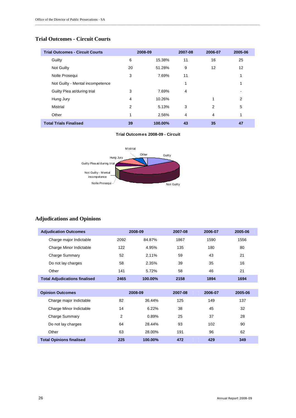### **Trial Outcomes - Circuit Courts**

| <b>Trial Outcomes - Circuit Courts</b> |    | 2008-09 | 2007-08 | 2006-07 | 2005-06 |
|----------------------------------------|----|---------|---------|---------|---------|
| Guilty                                 | 6  | 15.38%  | 11      | 16      | 25      |
| Not Guilty                             | 20 | 51.28%  | 9       | 12      | 12      |
| Nolle Prosequi                         | 3  | 7.69%   | 11      |         |         |
| Not Guilty - Mental incompetence       |    |         | 1       |         |         |
| Guilty Plea at/during trial            | 3  | 7.69%   | 4       |         |         |
| Hung Jury                              | 4  | 10.26%  |         |         | 2       |
| Mistrial                               | 2  | 5.13%   | 3       | 2       | 5       |
| Other                                  | 1  | 2.56%   | 4       | 4       | 1       |
| <b>Total Trials Finalised</b>          | 39 | 100.00% | 43      | 35      | 47      |

\_\_\_\_\_\_\_\_\_\_\_\_\_\_\_\_\_\_\_\_\_\_\_\_\_\_\_\_\_\_\_\_\_\_\_\_\_\_\_\_\_\_\_\_\_\_\_\_\_\_\_\_\_\_\_\_\_\_\_\_\_\_\_\_\_\_\_\_\_\_\_\_\_\_\_\_\_\_\_\_\_\_\_\_\_\_\_\_\_\_\_\_\_\_\_\_\_\_\_\_\_\_\_\_\_\_\_\_\_\_\_\_\_\_\_\_\_\_\_\_\_\_\_\_\_\_\_\_\_

#### **Trial Outcomes 2008-09 - Circuit**



# **Adjudications and Opinions**

| <b>Adjudication Outcomes</b>         |      | 2008-09 |      | 2006-07 | 2005-06 |
|--------------------------------------|------|---------|------|---------|---------|
| Charge major Indictable              | 2092 | 84.87%  | 1867 | 1590    | 1556    |
| Charge Minor Indictable              | 122  | 4.95%   | 135  | 180     | 80      |
| Charge Summary                       | 52   | 2.11%   | 59   | 43      | 21      |
| Do not lay charges                   | 58   | 2.35%   | 39   | 35      | 16      |
| Other                                | 141  | 5.72%   | 58   | 46      | 21      |
| <b>Total Adjudications finalised</b> | 2465 | 100.00% | 2158 | 1894    | 1694    |

| <b>Opinion Outcomes</b>         |     | 2008-09 |     | 2006-07 | 2005-06 |
|---------------------------------|-----|---------|-----|---------|---------|
| Charge major Indictable         | 82  | 36.44%  | 125 | 149     | 137     |
| Charge Minor Indictable         | 14  | 6.22%   | 38  | 45      | 32      |
| Charge Summary                  | 2   | 0.89%   | 25  | 37      | 28      |
| Do not lay charges              | 64  | 28.44%  | 93  | 102     | 90      |
| Other                           | 63  | 28.00%  | 191 | 96      | 62      |
| <b>Total Opinions finalised</b> | 225 | 100.00% | 472 | 429     | 349     |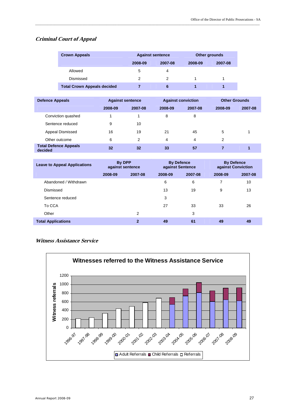#### **Criminal Court of Appeal**

| <b>Crown Appeals</b>               |         | <b>Against sentence</b> | Other grounds |         |  |
|------------------------------------|---------|-------------------------|---------------|---------|--|
|                                    | 2008-09 | 2007-08                 | 2008-09       | 2007-08 |  |
| Allowed                            | 5       | 4                       |               |         |  |
| Dismissed                          | 2       | 2                       |               |         |  |
| <b>Total Crown Appeals decided</b> |         | 6                       |               |         |  |

\_\_\_\_\_\_\_\_\_\_\_\_\_\_\_\_\_\_\_\_\_\_\_\_\_\_\_\_\_\_\_\_\_\_\_\_\_\_\_\_\_\_\_\_\_\_\_\_\_\_\_\_\_\_\_\_\_\_\_\_\_\_\_\_\_\_\_\_\_\_\_\_\_\_\_\_\_\_\_\_\_\_\_\_\_\_\_\_\_\_\_\_\_\_\_\_\_\_\_\_\_\_\_\_\_\_\_\_\_\_\_\_\_\_\_\_\_\_\_\_\_\_\_\_\_\_\_\_\_

| <b>Defence Appeals</b>                  |         | <b>Against sentence</b> |         | <b>Against conviction</b> |         | <b>Other Grounds</b> |  |
|-----------------------------------------|---------|-------------------------|---------|---------------------------|---------|----------------------|--|
|                                         | 2008-09 | 2007-08                 | 2008-09 | 2007-08                   | 2008-09 | 2007-08              |  |
| Conviction quashed                      |         |                         | 8       | 8                         |         |                      |  |
| Sentence reduced                        | 9       | 10                      |         |                           |         |                      |  |
| Appeal Dismissed                        | 16      | 19                      | 21      | 45                        | 5       |                      |  |
| Other outcome                           | 6       | 2                       | 4       | 4                         | 2       |                      |  |
| <b>Total Defence Appeals</b><br>decided | 32      | 32                      | 33      | 57                        |         |                      |  |

| <b>Leave to Appeal Applications</b> | By DPP<br>against sentence |              | <b>By Defence</b><br>against Sentence |         | <b>By Defence</b><br>against Conviction |         |
|-------------------------------------|----------------------------|--------------|---------------------------------------|---------|-----------------------------------------|---------|
|                                     | 2008-09                    | 2007-08      | 2008-09                               | 2007-08 | 2008-09                                 | 2007-08 |
| Abandoned / Withdrawn               |                            |              | 6                                     | 6       | 7                                       | 10      |
| Dismissed                           |                            |              | 13                                    | 19      | 9                                       | 13      |
| Sentence reduced                    |                            |              | 3                                     |         |                                         |         |
| To CCA                              |                            |              | 27                                    | 33      | 33                                      | 26      |
| Other                               |                            | 2            |                                       | 3       |                                         |         |
| <b>Total Applications</b>           |                            | $\mathbf{2}$ | 49                                    | 61      | 49                                      | 49      |

#### **Witness Assistance Service**

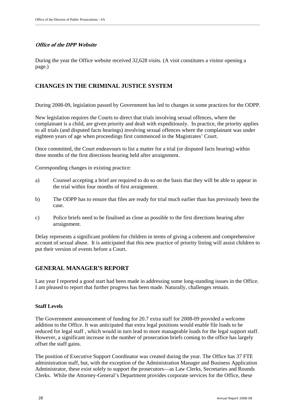### **Office of the DPP Website**

During the year the Office website received 32,628 visits. (A visit constitutes a visitor opening a page.)

## **CHANGES IN THE CRIMINAL JUSTICE SYSTEM**

During 2008-09, legislation passed by Government has led to changes in some practices for the ODPP.

New legislation requires the Courts to direct that trials involving sexual offences, where the complainant is a child, are given priority and dealt with expeditiously. In practice, the priority applies to all trials (and disputed facts hearings) involving sexual offences where the complainant was under eighteen years of age when proceedings first commenced in the Magistrates' Court.

Once committed, the Court endeavours to list a matter for a trial (or disputed facts hearing) within three months of the first directions hearing held after arraignment.

Corresponding changes in existing practice:

- a) Counsel accepting a brief are required to do so on the basis that they will be able to appear in the trial within four months of first arraignment.
- b) The ODPP has to ensure that files are ready for trial much earlier than has previously been the case.
- c) Police briefs need to be finalised as close as possible to the first directions hearing after arraignment.

Delay represents a significant problem for children in terms of giving a coherent and comprehensive account of sexual abuse. It is anticipated that this new practice of priority listing will assist children to put their version of events before a Court.

### **GENERAL MANAGER'S REPORT**

Last year I reported a good start had been made in addressing some long-standing issues in the Office. I am pleased to report that further progress has been made. Naturally, challenges remain.

#### **Staff Levels**

The Government announcement of funding for 20.7 extra staff for 2008-09 provided a welcome addition to the Office. It was anticipated that extra legal positions would enable file loads to be reduced for legal staff , which would in turn lead to more manageable loads for the legal support staff. However, a significant increase in the number of prosecution briefs coming to the office has largely offset the staff gains.

The position of Executive Support Coordinator was created during the year. The Office has 37 FTE administration staff, but, with the exception of the Administration Manager and Business Application Administrator, these exist solely to support the prosecutors—as Law Clerks, Secretaries and Rounds Clerks. While the Attorney-General's Department provides corporate services for the Office, these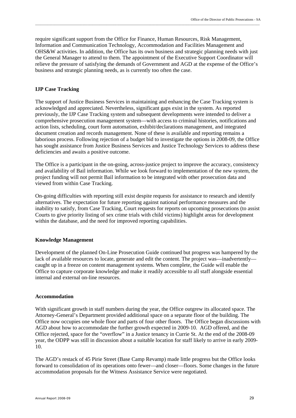require significant support from the Office for Finance, Human Resources, Risk Management, Information and Communication Technology, Accommodation and Facilities Management and OHS&W activities. In addition, the Office has its own business and strategic planning needs with just the General Manager to attend to them. The appointment of the Executive Support Coordinator will relieve the pressure of satisfying the demands of Government and AGD at the expense of the Office's business and strategic planning needs, as is currently too often the case.

#### **IJP Case Tracking**

The support of Justice Business Services in maintaining and enhancing the Case Tracking system is acknowledged and appreciated. Nevertheless, significant gaps exist in the system. As reported previously, the IJP Case Tracking system and subsequent developments were intended to deliver a comprehensive prosecution management system—with access to criminal histories, notifications and action lists, scheduling, court form automation, exhibit/declarations management, and integrated document creation and records management. None of these is available and reporting remains a laborious process. Following rejection of a budget bid to investigate the options in 2008-09, the Office has sought assistance from Justice Business Services and Justice Technology Services to address these deficiencies and awaits a positive outcome.

The Office is a participant in the on-going, across-justice project to improve the accuracy, consistency and availability of Bail information. While we look forward to implementation of the new system, the project funding will not permit Bail information to be integrated with other prosecution data and viewed from within Case Tracking.

On-going difficulties with reporting still exist despite requests for assistance to research and identify alternatives. The expectation for future reporting against national performance measures and the inability to satisfy, from Case Tracking, Court requests for reports on upcoming prosecutions (to assist Courts to give priority listing of sex crime trials with child victims) highlight areas for development within the database, and the need for improved reporting capabilities.

#### **Knowledge Management**

Development of the planned On-Line Prosecution Guide continued but progress was hampered by the lack of available resources to locate, generate and edit the content. The project was—inadvertently caught up in a freeze on content management systems. When complete, the Guide will enable the Office to capture corporate knowledge and make it readily accessible to all staff alongside essential internal and external on-line resources.

#### **Accommodation**

With significant growth in staff numbers during the year, the Office outgrew its allocated space. The Attorney-General's Department provided additional space on a separate floor of the building. The Office now occupies one whole floor and parts of four other floors. The Office began discussions with AGD about how to accommodate the further growth expected in 2009-10. AGD offered, and the Office rejected, space for the "overflow" in a Justice tenancy in Currie St. At the end of the 2008-09 year, the ODPP was still in discussion about a suitable location for staff likely to arrive in early 2009- 10.

The AGD's restack of 45 Pirie Street (Base Camp Revamp) made little progress but the Office looks forward to consolidation of its operations onto fewer—and closer—floors. Some changes in the future accommodation proposals for the Witness Assistance Service were negotiated.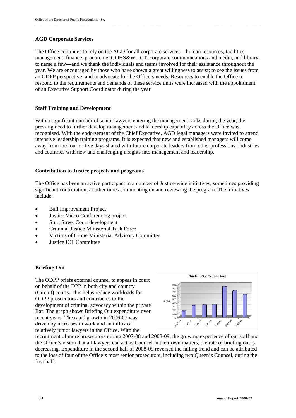#### **AGD Corporate Services**

The Office continues to rely on the AGD for all corporate services—human resources, facilities management, finance, procurement, OHS&W, ICT, corporate communications and media, and library, to name a few—and we thank the individuals and teams involved for their assistance throughout the year. We are encouraged by those who have shown a great willingness to assist; to see the issues from an ODPP perspective; and to advocate for the Office's needs. Resources to enable the Office to respond to the requirements and demands of these service units were increased with the appointment of an Executive Support Coordinator during the year.

#### **Staff Training and Development**

With a significant number of senior lawyers entering the management ranks during the year, the pressing need to further develop management and leadership capability across the Office was recognised. With the endorsement of the Chief Executive, AGD legal managers were invited to attend intensive leadership training programs. It is expected that new and established managers will come away from the four or five days shared with future corporate leaders from other professions, industries and countries with new and challenging insights into management and leadership.

#### **Contribution to Justice projects and programs**

The Office has been an active participant in a number of Justice-wide initiatives, sometimes providing significant contribution, at other times commenting on and reviewing the program. The initiatives include:

- Bail Improvement Project
- Justice Video Conferencing project
- Sturt Street Court development
- Criminal Justice Ministerial Task Force
- Victims of Crime Ministerial Advisory Committee
- Justice ICT Committee

#### **Briefing Out**

The ODPP briefs external counsel to appear in court on behalf of the DPP in both city and country (Circuit) courts. This helps reduce workloads for ODPP prosecutors and contributes to the development of criminal advocacy within the private Bar. The graph shows Briefing Out expenditure over recent years. The rapid growth in 2006-07 was driven by increases in work and an influx of relatively junior lawyers in the Office. With the



recruitment of more prosecutors during 2007-08 and 2008-09, the growing experience of our staff and the Office's vision that all lawyers can act as Counsel in their own matters, the rate of briefing out is decreasing. Expenditure in the second half of 2008-09 reversed the falling trend and can be attributed to the loss of four of the Office's most senior prosecutors, including two Queen's Counsel, during the first half.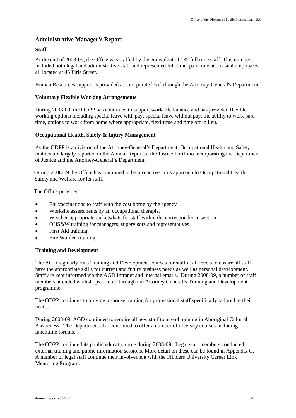### **Administrative Manager's Report**

#### **Staff**

At the end of 2008-09, the Office was staffed by the equivalent of 132 full time staff. This number included both legal and administrative staff and represented full-time, part-time and casual employees, all located at 45 Pirie Street.

Human Resources support is provided at a corporate level through the Attorney-General's Department.

#### **Voluntary Flexible Working Arrangements**

During 2008-09, the ODPP has continued to support work-life balance and has provided flexible working options including special leave with pay, special leave without pay, the ability to work parttime, options to work from home where appropriate, flexi-time and time off in lieu.

#### **Occupational Health, Safety & Injury Management**

As the ODPP is a division of the Attorney-General's Department, Occupational Health and Safety matters are largely reported in the Annual Report of the Justice Portfolio incorporating the Department of Justice and the Attorney-General's Department.

During 2008-09 the Office has continued to be pro-active in its approach to Occupational Health, Safety and Welfare for its staff.

The Office provided:

- Flu vaccinations to staff with the cost borne by the agency
- Worksite assessments by an occupational therapist
- Weather-appropriate jackets/hats for staff within the correspondence section
- OHS&W training for managers, supervisors and representatives
- First Aid training
- Fire Warden training.

#### **Training and Development**

The AGD regularly runs Training and Development courses for staff at all levels to ensure all staff have the appropriate skills for current and future business needs as well as personal development. Staff are kept informed via the AGD Intranet and internal emails. During 2008-09, a number of staff members attended workshops offered through the Attorney General's Training and Development programme.

The ODPP continues to provide in-house training for professional staff specifically tailored to their needs.

During 2008-09, AGD continued to require all new staff to attend training in Aboriginal Cultural Awareness. The Department also continued to offer a number of diversity courses including lunchtime forums.

The ODPP continued its public education role during 2008-09. Legal staff members conducted external training and public information sessions. More detail on these can be found in Appendix C. A number of legal staff continue their involvement with the Flinders University Career Link Mentoring Program.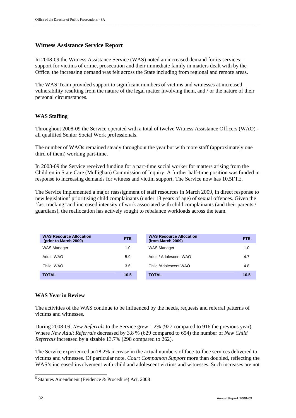#### **Witness Assistance Service Report**

In 2008-09 the Witness Assistance Service (WAS) noted an increased demand for its services support for victims of crime, prosecution and their immediate family in matters dealt with by the Office. the increasing demand was felt across the State including from regional and remote areas.

\_\_\_\_\_\_\_\_\_\_\_\_\_\_\_\_\_\_\_\_\_\_\_\_\_\_\_\_\_\_\_\_\_\_\_\_\_\_\_\_\_\_\_\_\_\_\_\_\_\_\_\_\_\_\_\_\_\_\_\_\_\_\_\_\_\_\_\_\_\_\_\_\_\_\_\_\_\_\_\_\_\_\_\_\_\_\_\_\_\_\_\_\_\_\_\_\_\_\_\_\_\_\_\_\_\_\_\_\_\_\_\_\_\_\_\_\_\_\_\_\_\_\_\_\_\_\_\_\_

The WAS Team provided support to significant numbers of victims and witnesses at increased vulnerability resulting from the nature of the legal matter involving them, and / or the nature of their personal circumstances.

#### **WAS Staffing**

Throughout 2008-09 the Service operated with a total of twelve Witness Assistance Officers (WAO) all qualified Senior Social Work professionals.

The number of WAOs remained steady throughout the year but with more staff (approximately one third of them) working part-time.

In 2008-09 the Service received funding for a part-time social worker for matters arising from the Children in State Care (Mullighan) Commission of Inquiry. A further half-time position was funded in response to increasing demands for witness and victim support. The Service now has 10.5FTE.

The Service implemented a major reassignment of staff resources in March 2009, in direct response to new legislation<sup>5</sup> prioritising child complainants (under 18 years of age) of sexual offences. Given the 'fast tracking' and increased intensity of work associated with child complainants (and their parents / guardians), the reallocation has actively sought to rebalance workloads across the team.

| <b>WAS Resource Allocation</b><br>(prior to March 2009) | <b>FTE</b> | <b>WAS Resource Allocation</b><br>(from March 2009) | <b>FTE</b> |
|---------------------------------------------------------|------------|-----------------------------------------------------|------------|
| <b>WAS Manager</b>                                      | 1.0        | <b>WAS Manager</b>                                  | 1.0        |
| Adult WAO                                               | 5.9        | Adult / Adolescent WAO                              | 4.7        |
| Child WAO                                               | 3.6        | Child /Adolescent WAO                               | 4.8        |
| <b>TOTAL</b>                                            | 10.5       | <b>TOTAL</b>                                        | 10.5       |

#### **WAS Year in Review**

The activities of the WAS continue to be influenced by the needs, requests and referral patterns of victims and witnesses.

During 2008-09, *New Referrals* to the Service grew 1.2% (927 compared to 916 the previous year). Where *New Adult Referrals* decreased by 3.8 % (629 compared to 654) the number of *New Child Referrals* increased by a sizable 13.7% (298 compared to 262).

The Service experienced an18.2% increase in the actual numbers of face-to-face services delivered to victims and witnesses. Of particular note, *Court Companion Support* more than doubled, reflecting the WAS's increased involvement with child and adolescent victims and witnesses. Such increases are not

 5 Statutes Amendment (Evidence & Procedure) Act, 2008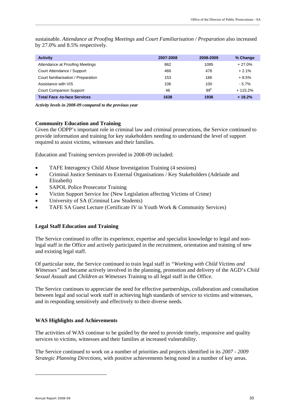| <b>Activity</b>                     | 2007-2008 | 2008-2009 | % Change  |
|-------------------------------------|-----------|-----------|-----------|
| Attendance at Proofing Meetings     | 862       | 1095      | $+27.0%$  |
| Court Attendance / Support          | 466       | 476       | $+2.1%$   |
| Court familiarisation / Preparation | 153       | 166       | $+8.5%$   |
| Assistance with VIS                 | 106       | 100       | $-5.7%$   |
| <b>Court Companion Support</b>      | 46        | $99^6$    | $+115.2%$ |
| <b>Total Face -to-face Services</b> | 1638      | 1936      | $+18.2%$  |

sustainable. *Attendance at Proofing Meetings* and *Court Familiarisation / Preparation* also increased by 27.0% and 8.5% respectively.

*Activity levels in 2008-09 compared to the previous year* 

#### **Community Education and Training**

Given the ODPP's important role in criminal law and criminal prosecutions, the Service continued to provide information and training for key stakeholders needing to understand the level of support required to assist victims, witnesses and their families.

Education and Training services provided in 2008-09 included:

- TAFE Interagency Child Abuse Investigation Training (4 sessions)
- Criminal Justice Seminars to External Organisations / Key Stakeholders (Adelaide and Elizabeth)
- SAPOL Police Prosecutor Training
- Victim Support Service Inc (New Legislation affecting Victims of Crime)
- University of SA (Criminal Law Students)
- TAFE SA Guest Lecture (Certificate IV in Youth Work & Community Services)

#### **Legal Staff Education and Training**

The Service continued to offer its experience, expertise and specialist knowledge to legal and nonlegal staff in the Office and actively participated in the recruitment, orientation and training of new and existing legal staff.

Of particular note, the Service continued to train legal staff in *"Working with Child Victims and Witnesses"* and became actively involved in the planning, promotion and delivery of the AGD's *Child Sexual Assault* and *Children as Witnesses* Training to all legal staff in the Office.

The Service continues to appreciate the need for effective partnerships, collaboration and consultation between legal and social work staff in achieving high standards of service to victims and witnesses, and in responding sensitively and effectively to their diverse needs.

#### **WAS Highlights and Achievements**

The activities of WAS continue to be guided by the need to provide timely, responsive and quality services to victims, witnesses and their families at increased vulnerability.

The Service continued to work on a number of priorities and projects identified in its *2007 - 2009 Strategic Planning Directions*, with positive achievements being noted in a number of key areas.

-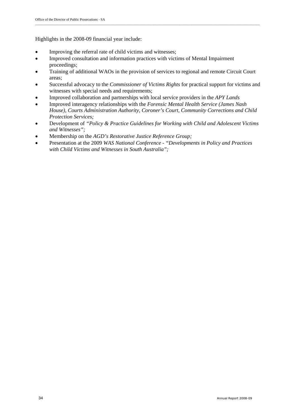Highlights in the 2008-09 financial year include:

- Improving the referral rate of child victims and witnesses;
- Improved consultation and information practices with victims of Mental Impairment proceedings;
- Training of additional WAOs in the provision of services to regional and remote Circuit Court areas;
- Successful advocacy to the *Commissioner of Victims Rights* for practical support for victims and witnesses with special needs and requirements;
- Improved collaboration and partnerships with local service providers in the *APY Lands*
- Improved interagency relationships with the *Forensic Mental Health Service (James Nash House), Courts Administration Authority, Coroner's Court, Community Corrections and Child Protection Services;*
- Development of *"Policy & Practice Guidelines for Working with Child and Adolescent Victims and Witnesses";*
- Membership on the *AGD's Restorative Justice Reference Group;*
- Presentation at the 2009 *WAS National Conference "Developments in Policy and Practices with Child Victims and Witnesses in South Australia";*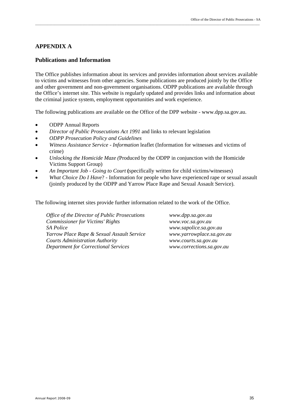#### **APPENDIX A**

#### **Publications and Information**

The Office publishes information about its services and provides information about services available to victims and witnesses from other agencies. Some publications are produced jointly by the Office and other government and non-government organisations. ODPP publications are available through the Office's internet site. This website is regularly updated and provides links and information about the criminal justice system, employment opportunities and work experience.

\_\_\_\_\_\_\_\_\_\_\_\_\_\_\_\_\_\_\_\_\_\_\_\_\_\_\_\_\_\_\_\_\_\_\_\_\_\_\_\_\_\_\_\_\_\_\_\_\_\_\_\_\_\_\_\_\_\_\_\_\_\_\_\_\_\_\_\_\_\_\_\_\_\_\_\_\_\_\_\_\_\_\_\_\_\_\_\_\_\_\_\_\_\_\_\_\_\_\_\_\_\_\_\_\_\_\_\_\_\_\_\_\_\_\_\_\_\_\_\_\_\_\_\_\_\_\_\_\_

The following publications are available on the Office of the DPP website - www.dpp.sa.gov.au.

- ODPP Annual Reports
- *Director of Public Prosecutions Act 1991* and links to relevant legislation
- *ODPP Prosecution Policy and Guidelines*
- *Witness Assistance Service Information* leaflet (Information for witnesses and victims of crime)
- *Unlocking the Homicide Maze (*Produced by the ODPP in conjunction with the Homicide Victims Support Group)
- *An Important Job Going to Court* **(**specifically written for child victims/witnesses)
- *What Choice Do I Have*? Information for people who have experienced rape or sexual assault (jointly produced by the ODPP and Yarrow Place Rape and Sexual Assault Service).

The following internet sites provide further information related to the work of the Office.

*Office of the Director of Public Prosecutions www.dpp.sa.gov.au Commissioner for Victims' Rights www.voc.sa.gov.au SA Police www.sapolice.sa.gov.au Yarrow Place Rape & Sexual Assault Service www.yarrowplace.sa.gov.au Courts Administration Authority www.courts.sa.gov.au Department for Correctional Services www.corrections.sa.gov.au*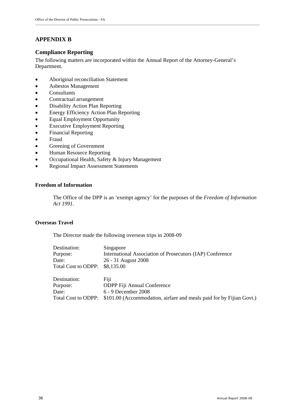# **APPENDIX B**

### **Compliance Reporting**

The following matters are incorporated within the Annual Report of the Attorney-General's Department.

- Aboriginal reconciliation Statement
- Asbestos Management
- Consultants
- Contractual arrangement
- Disability Action Plan Reporting
- Energy Efficiency Action Plan Reporting
- Equal Employment Opportunity
- Executive Employment Reporting
- Financial Reporting
- Fraud
- Greening of Government
- Human Resource Reporting
- Occupational Health, Safety & Injury Management
- Regional Impact Assessment Statements

#### **Freedom of Information**

The Office of the DPP is an 'exempt agency' for the purposes of the *Freedom of Information Act 1991.* 

#### **Overseas Travel**

The Director made the following overseas trips in 2008-09

| Destination:        | Singapore                                                            |
|---------------------|----------------------------------------------------------------------|
| Purpose:            | International Association of Prosecutors (IAP) Conference            |
| Date:               | 26 - 31 August 2008                                                  |
| Total Cost to ODPP: | \$8,135.00                                                           |
| Destination:        | Fiji                                                                 |
| Purpose:            | <b>ODPP</b> Fiji Annual Conference                                   |
| Date:               | 6 - 9 December 2008                                                  |
| Total Cost to ODPP: | \$101.00 (Accommodation, airfare and meals paid for by Fijian Govt.) |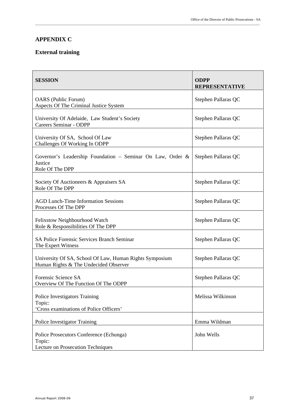# **APPENDIX C**

### **External training**

| <b>SESSION</b>                                                                                   | <b>ODPP</b><br><b>REPRESENTATIVE</b> |
|--------------------------------------------------------------------------------------------------|--------------------------------------|
| <b>OARS</b> (Public Forum)<br>Aspects Of The Criminal Justice System                             | Stephen Pallaras QC                  |
| University Of Adelaide, Law Student's Society<br><b>Careers Seminar - ODPP</b>                   | Stephen Pallaras QC                  |
| University Of SA, School Of Law<br>Challenges Of Working In ODPP                                 | Stephen Pallaras QC                  |
| Governor's Leadership Foundation - Seminar On Law, Order &<br>Justice<br>Role Of The DPP         | Stephen Pallaras QC                  |
| Society Of Auctioneers & Appraisers SA<br>Role Of The DPP                                        | Stephen Pallaras QC                  |
| <b>AGD Lunch-Time Information Sessions</b><br>Processes Of The DPP                               | Stephen Pallaras QC                  |
| Felixstow Neighbourhood Watch<br>Role & Responsibilities Of The DPP                              | Stephen Pallaras QC                  |
| <b>SA Police Forensic Services Branch Seminar</b><br>The Expert Witness                          | Stephen Pallaras QC                  |
| University Of SA, School Of Law, Human Rights Symposium<br>Human Rights & The Undecided Observer | Stephen Pallaras QC                  |
| Forensic Science SA<br>Overview Of The Function Of The ODPP                                      | Stephen Pallaras QC                  |
| Police Investigators Training<br>Topic:<br>'Cross examinations of Police Officers'               | Melissa Wilkinson                    |
| Police Investigator Training                                                                     | Emma Wildman                         |
| Police Prosecutors Conference (Echunga)<br>Topic:<br>Lecture on Prosecution Techniques           | John Wells                           |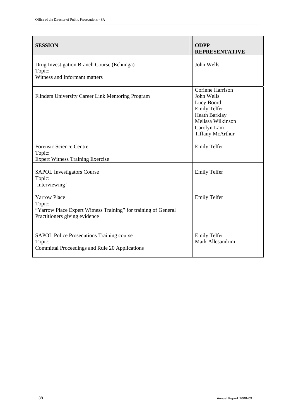| <b>SESSION</b>                                                                                                                   | <b>ODPP</b><br><b>REPRESENTATIVE</b>                                                                                                         |
|----------------------------------------------------------------------------------------------------------------------------------|----------------------------------------------------------------------------------------------------------------------------------------------|
| Drug Investigation Branch Course (Echunga)<br>Topic:<br>Witness and Informant matters                                            | John Wells                                                                                                                                   |
| Flinders University Career Link Mentoring Program                                                                                | Corinne Harrison<br>John Wells<br>Lucy Boord<br><b>Emily Telfer</b><br>Heath Barklay<br>Melissa Wilkinson<br>Carolyn Lam<br>Tiffany McArthur |
| <b>Forensic Science Centre</b><br>Topic:<br><b>Expert Witness Training Exercise</b>                                              | <b>Emily Telfer</b>                                                                                                                          |
| <b>SAPOL Investigators Course</b><br>Topic:<br>'Interviewing'                                                                    | <b>Emily Telfer</b>                                                                                                                          |
| <b>Yarrow Place</b><br>Topic:<br>"Yarrow Place Expert Witness Training" for training of General<br>Practitioners giving evidence | <b>Emily Telfer</b>                                                                                                                          |
| <b>SAPOL Police Prosecutions Training course</b><br>Topic:<br>Committal Proceedings and Rule 20 Applications                     | <b>Emily Telfer</b><br>Mark Allesandrini                                                                                                     |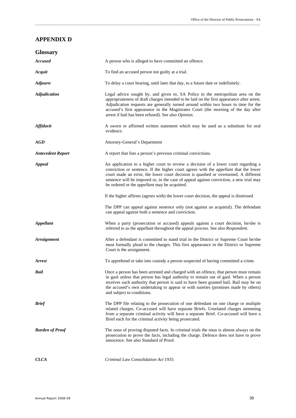## **APPENDIX D**

| <b>Glossary</b>          |                                                                                                                                                                                                                                                                                                                                                                                                                            |
|--------------------------|----------------------------------------------------------------------------------------------------------------------------------------------------------------------------------------------------------------------------------------------------------------------------------------------------------------------------------------------------------------------------------------------------------------------------|
| <b>Accused</b>           | A person who is alleged to have committed an offence.                                                                                                                                                                                                                                                                                                                                                                      |
| Acquit                   | To find an accused person not guilty at a trial.                                                                                                                                                                                                                                                                                                                                                                           |
| <b>Adjourn</b>           | To delay a court hearing, until later that day, to a future date or indefinitely.                                                                                                                                                                                                                                                                                                                                          |
| <b>Adjudication</b>      | Legal advice sought by, and given to, SA Police in the metropolitan area on the<br>appropriateness of draft charges intended to be laid on the first appearance after arrest.<br>Adjudication requests are generally turned around within two hours in time for the<br>accused's first appearance in the Magistrates Court (the morning of the day after<br>arrest if bail has been refused). See also Opinion.            |
| <b>Affidavit</b>         | A sworn or affirmed written statement which may be used as a substitute for oral<br>evidence.                                                                                                                                                                                                                                                                                                                              |
| AGD                      | Attorney-General's Department                                                                                                                                                                                                                                                                                                                                                                                              |
| <b>Antecedent Report</b> | A report that lists a person's previous criminal convictions.                                                                                                                                                                                                                                                                                                                                                              |
| Appeal                   | An application to a higher court to review a decision of a lower court regarding a<br>conviction or sentence. If the higher court agrees with the <i>appellant</i> that the lower<br>court made an error, the lower court decision is quashed or overturned. A different<br>sentence will be imposed or, in the case of appeal against conviction, a new trial may<br>be ordered or the <i>appellant</i> may be acquitted. |
|                          | If the higher affirms (agrees with) the lower court decision, the appeal is dismissed                                                                                                                                                                                                                                                                                                                                      |
|                          | The DPP can appeal against sentence only (not against an acquittal). The defendant<br>can appeal against both a sentence and conviction.                                                                                                                                                                                                                                                                                   |
| <b>Appellant</b>         | When a party (prosecution or accused) appeals against a court decision, he/she is<br>referred to as the appellant throughout the appeal process. See also Respondent.                                                                                                                                                                                                                                                      |
| <b>Arraignment</b>       | After a defendant is committed to stand trial in the District or Supreme Court he/she<br>must formally plead to the charges. This first appearance in the District or Supreme<br>Court is the arraignment.                                                                                                                                                                                                                 |
| <b>Arrest</b>            | To apprehend or take into custody a person suspected of having committed a crime.                                                                                                                                                                                                                                                                                                                                          |
| Bail                     | Once a person has been arrested and charged with an offence, that person must remain<br>in gaol unless that person has legal authority to remain out of gaol. When a person<br>receives such authority that person is said to have been granted bail. Bail may be on<br>the accused's own undertaking to appear or with sureties (promises made by others)<br>and subject to conditions.                                   |
| <b>Brief</b>             | The DPP file relating to the prosecution of one defendant on one charge or multiple<br>related charges. Co-accused will have separate Briefs. Unrelated charges stemming<br>from a separate criminal activity will have a separate Brief. Co-accused will have a<br>Brief each for the criminal activity being prosecuted.                                                                                                 |
| <b>Burden of Proof</b>   | The onus of proving disputed facts. In criminal trials the onus is almost always on the<br>prosecution to prove the facts, including the charge. Defence does not have to prove<br>innocence. See also Standard of Proof.                                                                                                                                                                                                  |
| <b>CLCA</b>              | Criminal Law Consolidation Act 1935                                                                                                                                                                                                                                                                                                                                                                                        |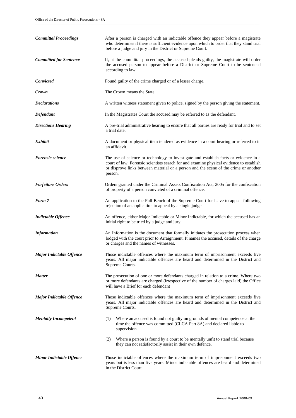| <b>Committal Proceedings</b>    | After a person is charged with an indictable offence they appear before a magistrate<br>who determines if there is sufficient evidence upon which to order that they stand trial<br>before a judge and jury in the District or Supreme Court.                                      |
|---------------------------------|------------------------------------------------------------------------------------------------------------------------------------------------------------------------------------------------------------------------------------------------------------------------------------|
| <b>Committed for Sentence</b>   | If, at the committal proceedings, the accused pleads guilty, the magistrate will order<br>the accused person to appear before a District or Supreme Court to be sentenced<br>according to law.                                                                                     |
| Convicted                       | Found guilty of the crime charged or of a lesser charge.                                                                                                                                                                                                                           |
| Crown                           | The Crown means the State.                                                                                                                                                                                                                                                         |
| <b>Declarations</b>             | A written witness statement given to police, signed by the person giving the statement.                                                                                                                                                                                            |
| Defendant                       | In the Magistrates Court the accused may be referred to as the defendant.                                                                                                                                                                                                          |
| <b>Directions Hearing</b>       | A pre-trial administrative hearing to ensure that all parties are ready for trial and to set<br>a trial date.                                                                                                                                                                      |
| Exhibit                         | A document or physical item tendered as evidence in a court hearing or referred to in<br>an affidavit.                                                                                                                                                                             |
| <b>Forensic science</b>         | The use of science or technology to investigate and establish facts or evidence in a<br>court of law. Forensic scientists search for and examine physical evidence to establish<br>or disprove links between material or a person and the scene of the crime or another<br>person. |
| <b>Forfeiture Orders</b>        | Orders granted under the Criminal Assets Confiscation Act, 2005 for the confiscation<br>of property of a person convicted of a criminal offence.                                                                                                                                   |
| Form 7                          | An application to the Full Bench of the Supreme Court for leave to appeal following<br>rejection of an application to appeal by a single judge.                                                                                                                                    |
| <b>Indictable Offence</b>       | An offence, either Major Indictable or Minor Indictable, for which the accused has an<br>initial right to be tried by a judge and jury.                                                                                                                                            |
| <b>Information</b>              | An Information is the document that formally initiates the prosecution process when<br>lodged with the court prior to Arraignment. It names the accused, details of the charge<br>or charges and the names of witnesses.                                                           |
| <b>Major Indictable Offence</b> | Those indictable offences where the maximum term of imprisonment exceeds five<br>years. All major indictable offences are heard and determined in the District and<br>Supreme Courts.                                                                                              |
| <b>Matter</b>                   | The prosecution of one or more defendants charged in relation to a crime. Where two<br>or more defendants are charged (irrespective of the number of charges laid) the Office<br>will have a Brief for each defendant                                                              |
| <b>Major Indictable Offence</b> | Those indictable offences where the maximum term of imprisonment exceeds five<br>years. All major indictable offences are heard and determined in the District and<br>Supreme Courts.                                                                                              |
| <b>Mentally Incompetent</b>     | Where an accused is found not guilty on grounds of mental competence at the<br>(1)<br>time the offence was committed (CLCA Part 8A) and declared liable to<br>supervision.                                                                                                         |
|                                 | Where a person is found by a court to be mentally unfit to stand trial because<br>(2)<br>they can not satisfactorily assist in their own defence.                                                                                                                                  |
| <b>Minor Indictable Offence</b> | Those indictable offences where the maximum term of imprisonment exceeds two<br>years but is less than five years. Minor indictable offences are heard and determined<br>in the District Court.                                                                                    |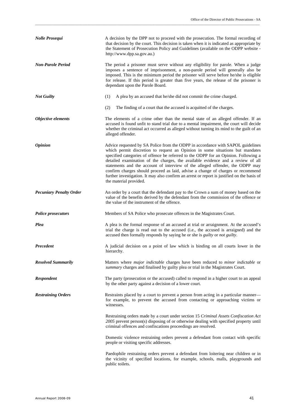| <b>Nolle Prosequi</b>          | A decision by the DPP not to proceed with the prosecution. The formal recording of<br>that decision by the court. This decision is taken when it is indicated as appropriate by<br>the Statement of Prosecution Policy and Guidelines (available on the ODPP website -<br>http://www.dpp.sa.gov.au.)                                                                                                                                                                                                                                                                                                                                    |
|--------------------------------|-----------------------------------------------------------------------------------------------------------------------------------------------------------------------------------------------------------------------------------------------------------------------------------------------------------------------------------------------------------------------------------------------------------------------------------------------------------------------------------------------------------------------------------------------------------------------------------------------------------------------------------------|
| <b>Non-Parole Period</b>       | The period a prisoner must serve without any eligibility for parole. When a judge<br>imposes a sentence of imprisonment, a non-parole period will generally also be<br>imposed. This is the minimum period the prisoner will serve before he/she is eligible<br>for release. If this period is greater than five years, the release of the prisoner is<br>dependant upon the Parole Board.                                                                                                                                                                                                                                              |
| <b>Not Guilty</b>              | A plea by an accused that he/she did not commit the crime charged.<br>(1)                                                                                                                                                                                                                                                                                                                                                                                                                                                                                                                                                               |
|                                | (2)<br>The finding of a court that the accused is acquitted of the charges.                                                                                                                                                                                                                                                                                                                                                                                                                                                                                                                                                             |
| Objective elements             | The elements of a crime other than the mental state of an alleged offender. If an<br>accused is found unfit to stand trial due to a mental impairment, the court will decide<br>whether the criminal act occurred as alleged without turning its mind to the guilt of an<br>alleged offender.                                                                                                                                                                                                                                                                                                                                           |
| <i><b>Opinion</b></i>          | Advice requested by SA Police from the ODPP in accordance with SAPOL guidelines<br>which permit discretion to request an Opinion in some situations but mandates<br>specified categories of offence be referred to the ODPP for an Opinion. Following a<br>detailed examination of the charges, the available evidence and a review of all<br>statements and the account of interview of the alleged offender, the ODPP may<br>confirm charges should proceed as laid, advise a change of charges or recommend<br>further investigation. It may also confirm an arrest or report is justified on the basis of<br>the material provided. |
| <b>Pecuniary Penalty Order</b> | An order by a court that the defendant pay to the Crown a sum of money based on the<br>value of the benefits derived by the defendant from the commission of the offence or<br>the value of the instrument of the offence.                                                                                                                                                                                                                                                                                                                                                                                                              |
| <b>Police prosecutors</b>      | Members of SA Police who prosecute offences in the Magistrates Court.                                                                                                                                                                                                                                                                                                                                                                                                                                                                                                                                                                   |
| Plea                           | A plea is the formal response of an accused at trial or arraignment. At the accused's<br>trial the charge is read out to the accused (i.e., the accused is arraigned) and the<br>accused then formally responds by saying he or she is <i>guilty</i> or <i>not guilty</i> .                                                                                                                                                                                                                                                                                                                                                             |
| <b>Precedent</b>               | A judicial decision on a point of law which is binding on all courts lower in the<br>hierarchy.                                                                                                                                                                                                                                                                                                                                                                                                                                                                                                                                         |
| <b>Resolved Summarily</b>      | Matters where <i>major indictable</i> charges have been reduced to <i>minor indictable</i> or<br>summary charges and finalised by guilty plea or trial in the Magistrates Court.                                                                                                                                                                                                                                                                                                                                                                                                                                                        |
| <b>Respondent</b>              | The party (prosecution or the accused) called to respond in a higher court to an appeal<br>by the other party against a decision of a lower court.                                                                                                                                                                                                                                                                                                                                                                                                                                                                                      |
| <b>Restraining Orders</b>      | Restraints placed by a court to prevent a person from acting in a particular manner-<br>for example, to prevent the accused from contacting or approaching victims or<br>witnesses.                                                                                                                                                                                                                                                                                                                                                                                                                                                     |
|                                | Restraining orders made by a court under section 15 Criminal Assets Confiscation Act<br>2005 prevent person(s) disposing of or otherwise dealing with specified property until<br>criminal offences and confiscations proceedings are resolved.                                                                                                                                                                                                                                                                                                                                                                                         |
|                                | Domestic violence restraining orders prevent a defendant from contact with specific<br>people or visiting specific addresses.                                                                                                                                                                                                                                                                                                                                                                                                                                                                                                           |
|                                | Paedophile restraining orders prevent a defendant from loitering near children or in<br>the vicinity of specified locations, for example, schools, malls, playgrounds and<br>public toilets.                                                                                                                                                                                                                                                                                                                                                                                                                                            |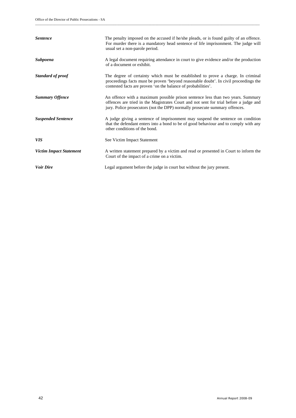| <i>Sentence</i>                | The penalty imposed on the accused if he/she pleads, or is found guilty of an offence.<br>For murder there is a mandatory head sentence of life imprisonment. The judge will<br>usual set a non-parole period.                                          |
|--------------------------------|---------------------------------------------------------------------------------------------------------------------------------------------------------------------------------------------------------------------------------------------------------|
| <b>Subpoena</b>                | A legal document requiring attendance in court to give evidence and/or the production<br>of a document or exhibit.                                                                                                                                      |
| <b>Standard of proof</b>       | The degree of certainty which must be established to prove a charge. In criminal<br>proceedings facts must be proven 'beyond reasonable doubt'. In civil proceedings the<br>contested facts are proven 'on the balance of probabilities'.               |
| <b>Summary Offence</b>         | An offence with a maximum possible prison sentence less than two years. Summary<br>offences are tried in the Magistrates Court and not sent for trial before a judge and<br>jury. Police prosecutors (not the DPP) normally prosecute summary offences. |
| <b>Suspended Sentence</b>      | A judge giving a sentence of imprisonment may suspend the sentence on condition<br>that the defendant enters into a bond to be of good behaviour and to comply with any<br>other conditions of the bond.                                                |
| <b>VIS</b>                     | See Victim Impact Statement                                                                                                                                                                                                                             |
| <b>Victim Impact Statement</b> | A written statement prepared by a victim and read or presented in Court to inform the<br>Court of the impact of a crime on a victim.                                                                                                                    |
| <b>Voir Dire</b>               | Legal argument before the judge in court but without the jury present.                                                                                                                                                                                  |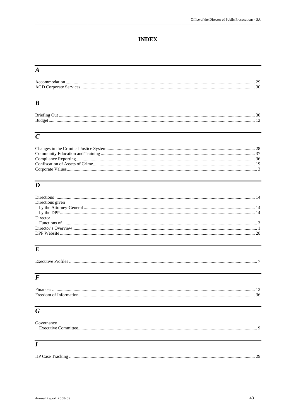# **INDEX**

# $\overline{A}$

# $\overline{B}$

| - 11 L |
|--------|
|        |

# $\overline{C}$

# $\overline{D}$

| Directions given |  |
|------------------|--|
|                  |  |
|                  |  |
| Director         |  |
|                  |  |
|                  |  |
|                  |  |
|                  |  |

# $\overline{E}$

# $\overline{F}$

| T.<br><b>Finances</b>   |  |
|-------------------------|--|
| Freedom of Information. |  |

# $\overline{G}$

| Governance |  |
|------------|--|
|            |  |
|            |  |
|            |  |
| l          |  |
|            |  |
|            |  |

| <b>IJP</b> Case Tracking |
|--------------------------|
|--------------------------|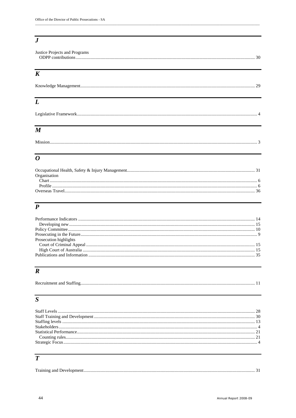# $\overline{\overline{J}}$

| Justice Projects and Programs |  |
|-------------------------------|--|
|                               |  |
|                               |  |

# $\overline{K}$

# $\overline{L}$

|--|

# $\overline{M}$

# 

# $\overline{o}$

| Organisation |  |
|--------------|--|
|              |  |
|              |  |
|              |  |
|              |  |

# $\overline{P}$

| Prosecution highlights |  |
|------------------------|--|
|                        |  |
|                        |  |
|                        |  |
|                        |  |

# $\overline{R}$

|--|--|

# $\overline{s}$

# $\overline{T}$

| Training and Development. |  |
|---------------------------|--|
|                           |  |